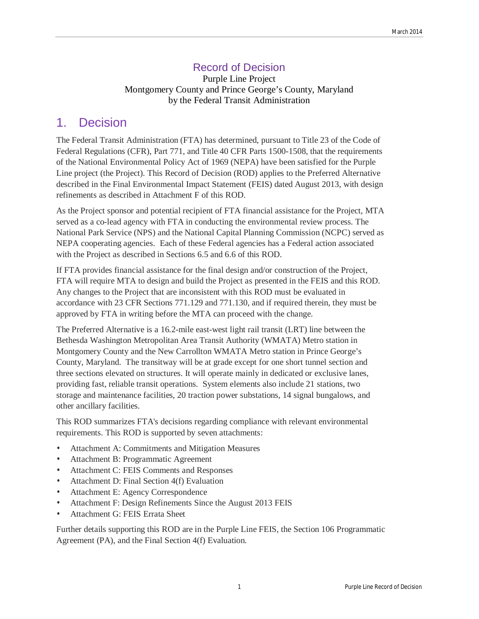## Record of Decision

Purple Line Project Montgomery County and Prince George's County, Maryland by the Federal Transit Administration

## 1. Decision

The Federal Transit Administration (FTA) has determined, pursuant to Title 23 of the Code of Federal Regulations (CFR), Part 771, and Title 40 CFR Parts 1500-1508, that the requirements of the National Environmental Policy Act of 1969 (NEPA) have been satisfied for the Purple Line project (the Project). This Record of Decision (ROD) applies to the Preferred Alternative described in the Final Environmental Impact Statement (FEIS) dated August 2013, with design refinements as described in Attachment F of this ROD.

As the Project sponsor and potential recipient of FTA financial assistance for the Project, MTA served as a co-lead agency with FTA in conducting the environmental review process. The National Park Service (NPS) and the National Capital Planning Commission (NCPC) served as NEPA cooperating agencies. Each of these Federal agencies has a Federal action associated with the Project as described in Sections 6.5 and 6.6 of this ROD.

If FTA provides financial assistance for the final design and/or construction of the Project, FTA will require MTA to design and build the Project as presented in the FEIS and this ROD. Any changes to the Project that are inconsistent with this ROD must be evaluated in accordance with 23 CFR Sections 771.129 and 771.130, and if required therein, they must be approved by FTA in writing before the MTA can proceed with the change.

The Preferred Alternative is a 16.2-mile east-west light rail transit (LRT) line between the Bethesda Washington Metropolitan Area Transit Authority (WMATA) Metro station in Montgomery County and the New Carrollton WMATA Metro station in Prince George's County, Maryland. The transitway will be at grade except for one short tunnel section and three sections elevated on structures. It will operate mainly in dedicated or exclusive lanes, providing fast, reliable transit operations. System elements also include 21 stations, two storage and maintenance facilities, 20 traction power substations, 14 signal bungalows, and other ancillary facilities.

This ROD summarizes FTA's decisions regarding compliance with relevant environmental requirements. This ROD is supported by seven attachments:

- Attachment A: Commitments and Mitigation Measures
- Attachment B: Programmatic Agreement
- Attachment C: FEIS Comments and Responses
- Attachment D: Final Section 4(f) Evaluation
- Attachment E: Agency Correspondence
- Attachment F: Design Refinements Since the August 2013 FEIS
- Attachment G: FEIS Errata Sheet

Further details supporting this ROD are in the Purple Line FEIS, the Section 106 Programmatic Agreement (PA), and the Final Section 4(f) Evaluation.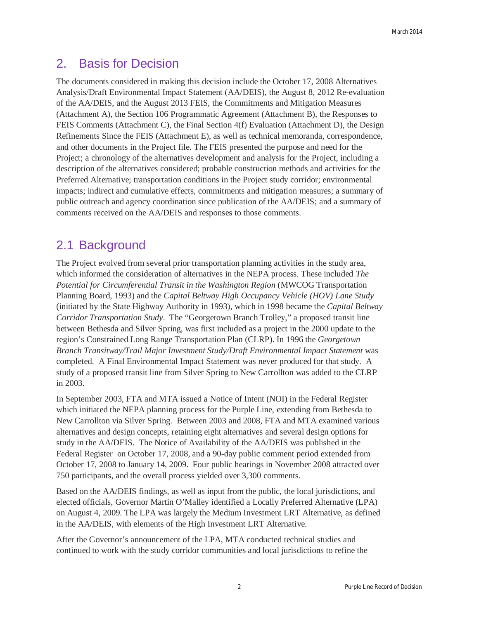# 2. Basis for Decision

The documents considered in making this decision include the October 17, 2008 Alternatives Analysis/Draft Environmental Impact Statement (AA/DEIS), the August 8, 2012 Re-evaluation of the AA/DEIS, and the August 2013 FEIS, the Commitments and Mitigation Measures (Attachment A), the Section 106 Programmatic Agreement (Attachment B), the Responses to FEIS Comments (Attachment C), the Final Section 4(f) Evaluation (Attachment D), the Design Refinements Since the FEIS (Attachment E), as well as technical memoranda, correspondence, and other documents in the Project file. The FEIS presented the purpose and need for the Project; a chronology of the alternatives development and analysis for the Project, including a description of the alternatives considered; probable construction methods and activities for the Preferred Alternative; transportation conditions in the Project study corridor; environmental impacts; indirect and cumulative effects, commitments and mitigation measures; a summary of public outreach and agency coordination since publication of the AA/DEIS; and a summary of comments received on the AA/DEIS and responses to those comments.

# 2.1 Background

The Project evolved from several prior transportation planning activities in the study area, which informed the consideration of alternatives in the NEPA process. These included *The Potential for Circumferential Transit in the Washington Region* (MWCOG Transportation Planning Board, 1993) and the *Capital Beltway High Occupancy Vehicle (HOV) Lane Study* (initiated by the State Highway Authority in 1993), which in 1998 became the *Capital Beltway Corridor Transportation Study*. The "Georgetown Branch Trolley," a proposed transit line between Bethesda and Silver Spring, was first included as a project in the 2000 update to the region's Constrained Long Range Transportation Plan (CLRP). In 1996 the *Georgetown Branch Transitway/Trail Major Investment Study/Draft Environmental Impact Statement* was completed. A Final Environmental Impact Statement was never produced for that study. A study of a proposed transit line from Silver Spring to New Carrollton was added to the CLRP in 2003.

In September 2003, FTA and MTA issued a Notice of Intent (NOI) in the Federal Register which initiated the NEPA planning process for the Purple Line, extending from Bethesda to New Carrollton via Silver Spring. Between 2003 and 2008, FTA and MTA examined various alternatives and design concepts, retaining eight alternatives and several design options for study in the AA/DEIS. The Notice of Availability of the AA/DEIS was published in the Federal Register on October 17, 2008, and a 90-day public comment period extended from October 17, 2008 to January 14, 2009. Four public hearings in November 2008 attracted over 750 participants, and the overall process yielded over 3,300 comments.

Based on the AA/DEIS findings, as well as input from the public, the local jurisdictions, and elected officials, Governor Martin O'Malley identified a Locally Preferred Alternative (LPA) on August 4, 2009. The LPA was largely the Medium Investment LRT Alternative, as defined in the AA/DEIS, with elements of the High Investment LRT Alternative.

After the Governor's announcement of the LPA, MTA conducted technical studies and continued to work with the study corridor communities and local jurisdictions to refine the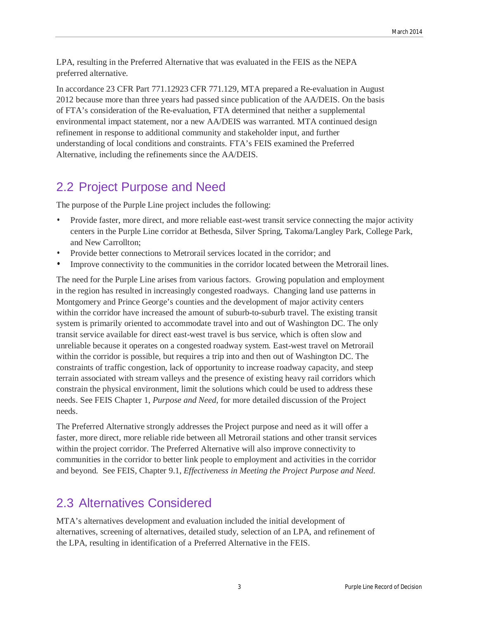LPA, resulting in the Preferred Alternative that was evaluated in the FEIS as the NEPA preferred alternative.

In accordance 23 CFR Part 771.12923 CFR 771.129, MTA prepared a Re-evaluation in August 2012 because more than three years had passed since publication of the AA/DEIS. On the basis of FTA's consideration of the Re-evaluation, FTA determined that neither a supplemental environmental impact statement, nor a new AA/DEIS was warranted. MTA continued design refinement in response to additional community and stakeholder input, and further understanding of local conditions and constraints. FTA's FEIS examined the Preferred Alternative, including the refinements since the AA/DEIS.

# 2.2 Project Purpose and Need

The purpose of the Purple Line project includes the following:

- Provide faster, more direct, and more reliable east-west transit service connecting the major activity centers in the Purple Line corridor at Bethesda, Silver Spring, Takoma/Langley Park, College Park, and New Carrollton;
- Provide better connections to Metrorail services located in the corridor; and
- Improve connectivity to the communities in the corridor located between the Metrorail lines.

The need for the Purple Line arises from various factors. Growing population and employment in the region has resulted in increasingly congested roadways. Changing land use patterns in Montgomery and Prince George's counties and the development of major activity centers within the corridor have increased the amount of suburb-to-suburb travel. The existing transit system is primarily oriented to accommodate travel into and out of Washington DC. The only transit service available for direct east-west travel is bus service, which is often slow and unreliable because it operates on a congested roadway system. East-west travel on Metrorail within the corridor is possible, but requires a trip into and then out of Washington DC. The constraints of traffic congestion, lack of opportunity to increase roadway capacity, and steep terrain associated with stream valleys and the presence of existing heavy rail corridors which constrain the physical environment, limit the solutions which could be used to address these needs. See FEIS Chapter 1, *Purpose and Need*, for more detailed discussion of the Project needs.

The Preferred Alternative strongly addresses the Project purpose and need as it will offer a faster, more direct, more reliable ride between all Metrorail stations and other transit services within the project corridor. The Preferred Alternative will also improve connectivity to communities in the corridor to better link people to employment and activities in the corridor and beyond. See FEIS, Chapter 9.1, *Effectiveness in Meeting the Project Purpose and Need.* 

# 2.3 Alternatives Considered

MTA's alternatives development and evaluation included the initial development of alternatives, screening of alternatives, detailed study, selection of an LPA, and refinement of the LPA, resulting in identification of a Preferred Alternative in the FEIS.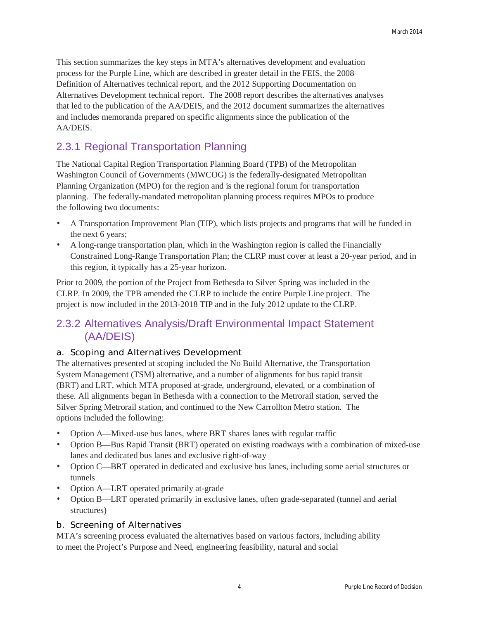This section summarizes the key steps in MTA's alternatives development and evaluation process for the Purple Line, which are described in greater detail in the FEIS, the 2008 Definition of Alternatives technical report, and the 2012 Supporting Documentation on Alternatives Development technical report. The 2008 report describes the alternatives analyses that led to the publication of the AA/DEIS, and the 2012 document summarizes the alternatives and includes memoranda prepared on specific alignments since the publication of the AA/DEIS.

## 2.3.1 Regional Transportation Planning

The National Capital Region Transportation Planning Board (TPB) of the Metropolitan Washington Council of Governments (MWCOG) is the federally-designated Metropolitan Planning Organization (MPO) for the region and is the regional forum for transportation planning. The federally-mandated metropolitan planning process requires MPOs to produce the following two documents:

- A Transportation Improvement Plan (TIP), which lists projects and programs that will be funded in the next 6 years;
- A long-range transportation plan, which in the Washington region is called the Financially Constrained Long-Range Transportation Plan; the CLRP must cover at least a 20-year period, and in this region, it typically has a 25-year horizon.

Prior to 2009, the portion of the Project from Bethesda to Silver Spring was included in the CLRP. In 2009, the TPB amended the CLRP to include the entire Purple Line project. The project is now included in the 2013-2018 TIP and in the July 2012 update to the CLRP.

## 2.3.2 Alternatives Analysis/Draft Environmental Impact Statement (AA/DEIS)

### a. Scoping and Alternatives Development

The alternatives presented at scoping included the No Build Alternative, the Transportation System Management (TSM) alternative, and a number of alignments for bus rapid transit (BRT) and LRT, which MTA proposed at-grade, underground, elevated, or a combination of these. All alignments began in Bethesda with a connection to the Metrorail station, served the Silver Spring Metrorail station, and continued to the New Carrollton Metro station. The options included the following:

- Option A—Mixed-use bus lanes, where BRT shares lanes with regular traffic
- Option B—Bus Rapid Transit (BRT) operated on existing roadways with a combination of mixed-use lanes and dedicated bus lanes and exclusive right-of-way
- Option C—BRT operated in dedicated and exclusive bus lanes, including some aerial structures or tunnels
- Option A—LRT operated primarily at-grade
- Option B—LRT operated primarily in exclusive lanes, often grade-separated (tunnel and aerial structures)

### b. Screening of Alternatives

MTA's screening process evaluated the alternatives based on various factors, including ability to meet the Project's Purpose and Need, engineering feasibility, natural and social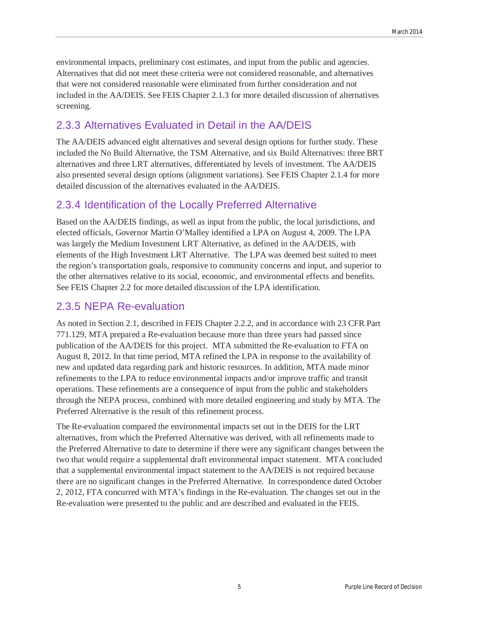environmental impacts, preliminary cost estimates, and input from the public and agencies. Alternatives that did not meet these criteria were not considered reasonable, and alternatives that were not considered reasonable were eliminated from further consideration and not included in the AA/DEIS. See FEIS Chapter 2.1.3 for more detailed discussion of alternatives screening.

## 2.3.3 Alternatives Evaluated in Detail in the AA/DEIS

The AA/DEIS advanced eight alternatives and several design options for further study. These included the No Build Alternative, the TSM Alternative, and six Build Alternatives: three BRT alternatives and three LRT alternatives, differentiated by levels of investment. The AA/DEIS also presented several design options (alignment variations). See FEIS Chapter 2.1.4 for more detailed discussion of the alternatives evaluated in the AA/DEIS.

## 2.3.4 Identification of the Locally Preferred Alternative

Based on the AA/DEIS findings, as well as input from the public, the local jurisdictions, and elected officials, Governor Martin O'Malley identified a LPA on August 4, 2009. The LPA was largely the Medium Investment LRT Alternative, as defined in the AA/DEIS, with elements of the High Investment LRT Alternative. The LPA was deemed best suited to meet the region's transportation goals, responsive to community concerns and input, and superior to the other alternatives relative to its social, economic, and environmental effects and benefits. See FEIS Chapter 2.2 for more detailed discussion of the LPA identification.

## 2.3.5 NEPA Re-evaluation

As noted in Section 2.1, described in FEIS Chapter 2.2.2, and in accordance with 23 CFR Part 771.129, MTA prepared a Re-evaluation because more than three years had passed since publication of the AA/DEIS for this project. MTA submitted the Re-evaluation to FTA on August 8, 2012. In that time period, MTA refined the LPA in response to the availability of new and updated data regarding park and historic resources. In addition, MTA made minor refinements to the LPA to reduce environmental impacts and/or improve traffic and transit operations. These refinements are a consequence of input from the public and stakeholders through the NEPA process, combined with more detailed engineering and study by MTA. The Preferred Alternative is the result of this refinement process.

The Re-evaluation compared the environmental impacts set out in the DEIS for the LRT alternatives, from which the Preferred Alternative was derived, with all refinements made to the Preferred Alternative to date to determine if there were any significant changes between the two that would require a supplemental draft environmental impact statement. MTA concluded that a supplemental environmental impact statement to the AA/DEIS is not required because there are no significant changes in the Preferred Alternative. In correspondence dated October 2, 2012, FTA concurred with MTA's findings in the Re-evaluation. The changes set out in the Re-evaluation were presented to the public and are described and evaluated in the FEIS.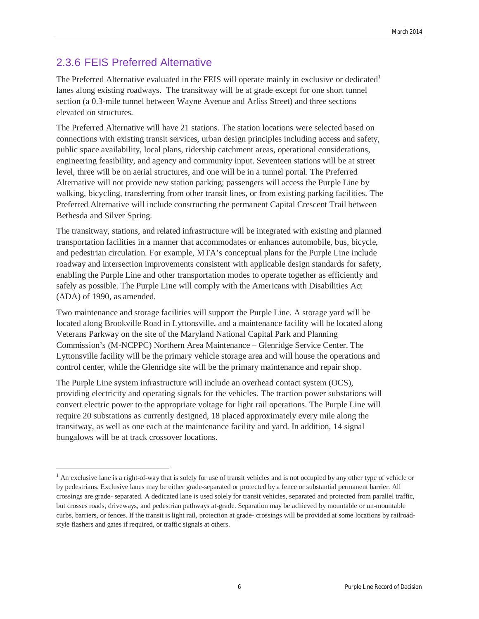## 2.3.6 FEIS Preferred Alternative

 $\overline{\phantom{a}}$ 

The Preferred Alternative evaluated in the FEIS will operate mainly in exclusive or dedicated<sup>1</sup> lanes along existing roadways. The transitway will be at grade except for one short tunnel section (a 0.3-mile tunnel between Wayne Avenue and Arliss Street) and three sections elevated on structures.

The Preferred Alternative will have 21 stations. The station locations were selected based on connections with existing transit services, urban design principles including access and safety, public space availability, local plans, ridership catchment areas, operational considerations, engineering feasibility, and agency and community input. Seventeen stations will be at street level, three will be on aerial structures, and one will be in a tunnel portal. The Preferred Alternative will not provide new station parking; passengers will access the Purple Line by walking, bicycling, transferring from other transit lines, or from existing parking facilities. The Preferred Alternative will include constructing the permanent Capital Crescent Trail between Bethesda and Silver Spring.

The transitway, stations, and related infrastructure will be integrated with existing and planned transportation facilities in a manner that accommodates or enhances automobile, bus, bicycle, and pedestrian circulation. For example, MTA's conceptual plans for the Purple Line include roadway and intersection improvements consistent with applicable design standards for safety, enabling the Purple Line and other transportation modes to operate together as efficiently and safely as possible. The Purple Line will comply with the Americans with Disabilities Act (ADA) of 1990, as amended.

Two maintenance and storage facilities will support the Purple Line. A storage yard will be located along Brookville Road in Lyttonsville, and a maintenance facility will be located along Veterans Parkway on the site of the Maryland National Capital Park and Planning Commission's (M-NCPPC) Northern Area Maintenance – Glenridge Service Center. The Lyttonsville facility will be the primary vehicle storage area and will house the operations and control center, while the Glenridge site will be the primary maintenance and repair shop.

The Purple Line system infrastructure will include an overhead contact system (OCS), providing electricity and operating signals for the vehicles. The traction power substations will convert electric power to the appropriate voltage for light rail operations. The Purple Line will require 20 substations as currently designed, 18 placed approximately every mile along the transitway, as well as one each at the maintenance facility and yard. In addition, 14 signal bungalows will be at track crossover locations.

<sup>&</sup>lt;sup>1</sup> An exclusive lane is a right-of-way that is solely for use of transit vehicles and is not occupied by any other type of vehicle or by pedestrians. Exclusive lanes may be either grade-separated or protected by a fence or substantial permanent barrier. All crossings are grade- separated. A dedicated lane is used solely for transit vehicles, separated and protected from parallel traffic, but crosses roads, driveways, and pedestrian pathways at-grade. Separation may be achieved by mountable or un-mountable curbs, barriers, or fences. If the transit is light rail, protection at grade- crossings will be provided at some locations by railroadstyle flashers and gates if required, or traffic signals at others.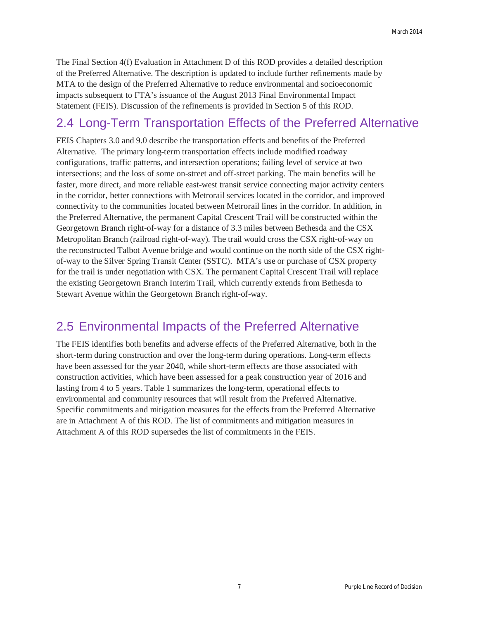The Final Section 4(f) Evaluation in Attachment D of this ROD provides a detailed description of the Preferred Alternative. The description is updated to include further refinements made by MTA to the design of the Preferred Alternative to reduce environmental and socioeconomic impacts subsequent to FTA's issuance of the August 2013 Final Environmental Impact Statement (FEIS). Discussion of the refinements is provided in Section 5 of this ROD.

## 2.4 Long-Term Transportation Effects of the Preferred Alternative

FEIS Chapters 3.0 and 9.0 describe the transportation effects and benefits of the Preferred Alternative. The primary long-term transportation effects include modified roadway configurations, traffic patterns, and intersection operations; failing level of service at two intersections; and the loss of some on-street and off-street parking. The main benefits will be faster, more direct, and more reliable east-west transit service connecting major activity centers in the corridor, better connections with Metrorail services located in the corridor, and improved connectivity to the communities located between Metrorail lines in the corridor. In addition, in the Preferred Alternative, the permanent Capital Crescent Trail will be constructed within the Georgetown Branch right-of-way for a distance of 3.3 miles between Bethesda and the CSX Metropolitan Branch (railroad right-of-way). The trail would cross the CSX right-of-way on the reconstructed Talbot Avenue bridge and would continue on the north side of the CSX rightof-way to the Silver Spring Transit Center (SSTC). MTA's use or purchase of CSX property for the trail is under negotiation with CSX. The permanent Capital Crescent Trail will replace the existing Georgetown Branch Interim Trail, which currently extends from Bethesda to Stewart Avenue within the Georgetown Branch right-of-way.

## 2.5 Environmental Impacts of the Preferred Alternative

The FEIS identifies both benefits and adverse effects of the Preferred Alternative, both in the short-term during construction and over the long-term during operations. Long-term effects have been assessed for the year 2040, while short-term effects are those associated with construction activities, which have been assessed for a peak construction year of 2016 and lasting from 4 to 5 years. Table 1 summarizes the long-term, operational effects to environmental and community resources that will result from the Preferred Alternative. Specific commitments and mitigation measures for the effects from the Preferred Alternative are in Attachment A of this ROD. The list of commitments and mitigation measures in Attachment A of this ROD supersedes the list of commitments in the FEIS.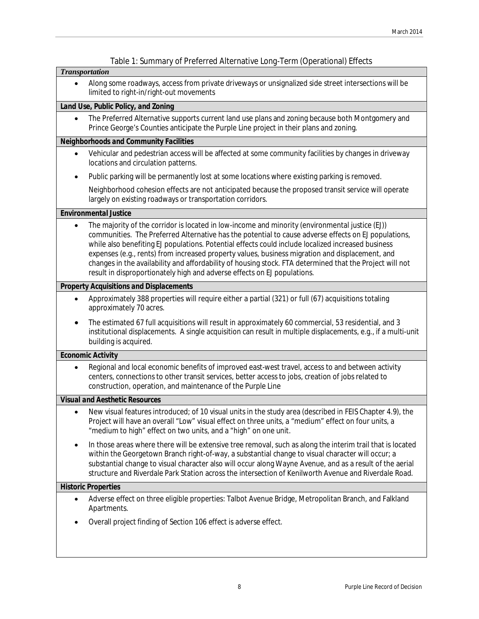| Table 1: Summary of Preferred Alternative Long-Term (Operational) Effects                                                                                                                                                                                                                                                                                                                                                                                                                                                                                                                                     |  |  |  |  |
|---------------------------------------------------------------------------------------------------------------------------------------------------------------------------------------------------------------------------------------------------------------------------------------------------------------------------------------------------------------------------------------------------------------------------------------------------------------------------------------------------------------------------------------------------------------------------------------------------------------|--|--|--|--|
| <b>Transportation</b>                                                                                                                                                                                                                                                                                                                                                                                                                                                                                                                                                                                         |  |  |  |  |
| Along some roadways, access from private driveways or unsignalized side street intersections will be<br>limited to right-in/right-out movements                                                                                                                                                                                                                                                                                                                                                                                                                                                               |  |  |  |  |
| Land Use, Public Policy, and Zoning                                                                                                                                                                                                                                                                                                                                                                                                                                                                                                                                                                           |  |  |  |  |
| The Preferred Alternative supports current land use plans and zoning because both Montgomery and<br>$\bullet$<br>Prince George's Counties anticipate the Purple Line project in their plans and zoning.                                                                                                                                                                                                                                                                                                                                                                                                       |  |  |  |  |
| Neighborhoods and Community Facilities                                                                                                                                                                                                                                                                                                                                                                                                                                                                                                                                                                        |  |  |  |  |
| Vehicular and pedestrian access will be affected at some community facilities by changes in driveway<br>$\bullet$<br>locations and circulation patterns.                                                                                                                                                                                                                                                                                                                                                                                                                                                      |  |  |  |  |
| Public parking will be permanently lost at some locations where existing parking is removed.<br>$\bullet$                                                                                                                                                                                                                                                                                                                                                                                                                                                                                                     |  |  |  |  |
| Neighborhood cohesion effects are not anticipated because the proposed transit service will operate<br>largely on existing roadways or transportation corridors.                                                                                                                                                                                                                                                                                                                                                                                                                                              |  |  |  |  |
| <b>Environmental Justice</b>                                                                                                                                                                                                                                                                                                                                                                                                                                                                                                                                                                                  |  |  |  |  |
| The majority of the corridor is located in low-income and minority (environmental justice (EJ))<br>٠<br>communities. The Preferred Alternative has the potential to cause adverse effects on EJ populations,<br>while also benefiting EJ populations. Potential effects could include localized increased business<br>expenses (e.g., rents) from increased property values, business migration and displacement, and<br>changes in the availability and affordability of housing stock. FTA determined that the Project will not<br>result in disproportionately high and adverse effects on EJ populations. |  |  |  |  |
| <b>Property Acquisitions and Displacements</b>                                                                                                                                                                                                                                                                                                                                                                                                                                                                                                                                                                |  |  |  |  |
| Approximately 388 properties will require either a partial (321) or full (67) acquisitions totaling<br>approximately 70 acres.                                                                                                                                                                                                                                                                                                                                                                                                                                                                                |  |  |  |  |
| The estimated 67 full acquisitions will result in approximately 60 commercial, 53 residential, and 3<br>institutional displacements. A single acquisition can result in multiple displacements, e.g., if a multi-unit<br>building is acquired.                                                                                                                                                                                                                                                                                                                                                                |  |  |  |  |
| Economic Activity                                                                                                                                                                                                                                                                                                                                                                                                                                                                                                                                                                                             |  |  |  |  |
| Regional and local economic benefits of improved east-west travel, access to and between activity<br>$\bullet$<br>centers, connections to other transit services, better access to jobs, creation of jobs related to<br>construction, operation, and maintenance of the Purple Line                                                                                                                                                                                                                                                                                                                           |  |  |  |  |
| <b>Visual and Aesthetic Resources</b>                                                                                                                                                                                                                                                                                                                                                                                                                                                                                                                                                                         |  |  |  |  |
| New visual features introduced; of 10 visual units in the study area (described in FEIS Chapter 4.9), the<br>Project will have an overall "Low" visual effect on three units, a "medium" effect on four units, a<br>"medium to high" effect on two units, and a "high" on one unit.                                                                                                                                                                                                                                                                                                                           |  |  |  |  |
| In those areas where there will be extensive tree removal, such as along the interim trail that is located<br>within the Georgetown Branch right-of-way, a substantial change to visual character will occur; a<br>substantial change to visual character also will occur along Wayne Avenue, and as a result of the aerial<br>structure and Riverdale Park Station across the intersection of Kenilworth Avenue and Riverdale Road.                                                                                                                                                                          |  |  |  |  |
| <b>Historic Properties</b>                                                                                                                                                                                                                                                                                                                                                                                                                                                                                                                                                                                    |  |  |  |  |
| Adverse effect on three eligible properties: Talbot Avenue Bridge, Metropolitan Branch, and Falkland<br>$\bullet$<br>Apartments.                                                                                                                                                                                                                                                                                                                                                                                                                                                                              |  |  |  |  |
| Overall project finding of Section 106 effect is adverse effect.                                                                                                                                                                                                                                                                                                                                                                                                                                                                                                                                              |  |  |  |  |
|                                                                                                                                                                                                                                                                                                                                                                                                                                                                                                                                                                                                               |  |  |  |  |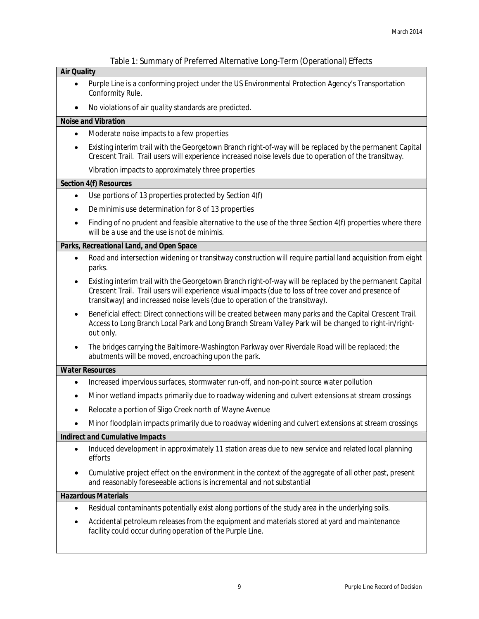|  |  | Table 1: Summary of Preferred Alternative Long-Term (Operational) Effects |  |
|--|--|---------------------------------------------------------------------------|--|
|  |  |                                                                           |  |

#### *Air Quality*

- Purple Line is a conforming project under the US Environmental Protection Agency's Transportation Conformity Rule.
- No violations of air quality standards are predicted.

### *Noise and Vibration*

- Moderate noise impacts to a few properties
- Existing interim trail with the Georgetown Branch right-of-way will be replaced by the permanent Capital Crescent Trail. Trail users will experience increased noise levels due to operation of the transitway. Vibration impacts to approximately three properties

### *Section 4(f) Resources*

- $\bullet$  Use portions of 13 properties protected by Section 4(f)
- x *De minimis* use determination for 8 of 13 properties
- Finding of no prudent and feasible alternative to the use of the three Section 4(f) properties where there will be a use and the use is not *de minimis*.

### *Parks, Recreational Land, and Open Space*

- x Road and intersection widening or transitway construction will require partial land acquisition from eight parks.
- Existing interim trail with the Georgetown Branch right-of-way will be replaced by the permanent Capital Crescent Trail. Trail users will experience visual impacts (due to loss of tree cover and presence of transitway) and increased noise levels (due to operation of the transitway).
- Beneficial effect: Direct connections will be created between many parks and the Capital Crescent Trail. Access to Long Branch Local Park and Long Branch Stream Valley Park will be changed to right-in/rightout only.
- The bridges carrying the Baltimore-Washington Parkway over Riverdale Road will be replaced; the abutments will be moved, encroaching upon the park.

#### *Water Resources*

- x Increased impervious surfaces, stormwater run-off, and non-point source water pollution
- x Minor wetland impacts primarily due to roadway widening and culvert extensions at stream crossings
- Relocate a portion of Sligo Creek north of Wayne Avenue
- x Minor floodplain impacts primarily due to roadway widening and culvert extensions at stream crossings

### *Indirect and Cumulative Impacts*

- Induced development in approximately 11 station areas due to new service and related local planning efforts
- Cumulative project effect on the environment in the context of the aggregate of all other past, present and reasonably foreseeable actions is incremental and not substantial

#### *Hazardous Materials*

- Residual contaminants potentially exist along portions of the study area in the underlying soils.
- Accidental petroleum releases from the equipment and materials stored at yard and maintenance facility could occur during operation of the Purple Line.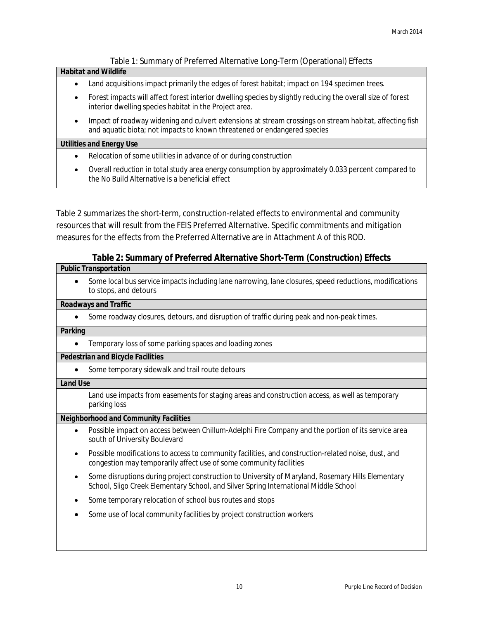### Table 1: Summary of Preferred Alternative Long-Term (Operational) Effects

### *Habitat and Wildlife*

- Land acquisitions impact primarily the edges of forest habitat; impact on 194 specimen trees.
- Forest impacts will affect forest interior dwelling species by slightly reducing the overall size of forest interior dwelling species habitat in the Project area.
- Impact of roadway widening and culvert extensions at stream crossings on stream habitat, affecting fish and aquatic biota; not impacts to known threatened or endangered species

#### *Utilities and Energy Use*

- x Relocation of some utilities in advance of or during construction
- Overall reduction in total study area energy consumption by approximately 0.033 percent compared to the No Build Alternative is a beneficial effect

Table 2 summarizes the short-term, construction-related effects to environmental and community resources that will result from the FEIS Preferred Alternative. Specific commitments and mitigation measures for the effects from the Preferred Alternative are in Attachment A of this ROD.

### **Table 2: Summary of Preferred Alternative Short-Term (Construction) Effects**

### *Public Transportation*

Some local bus service impacts including lane narrowing, lane closures, speed reductions, modifications to stops, and detours

### *Roadways and Traffic*

Some roadway closures, detours, and disruption of traffic during peak and non-peak times.

### *Parking*

• Temporary loss of some parking spaces and loading zones

### *Pedestrian and Bicycle Facilities*

• Some temporary sidewalk and trail route detours

### *Land Use*

Land use impacts from easements for staging areas and construction access, as well as temporary parking loss

#### *Neighborhood and Community Facilities*

- Possible impact on access between Chillum-Adelphi Fire Company and the portion of its service area south of University Boulevard
- Possible modifications to access to community facilities, and construction-related noise, dust, and congestion may temporarily affect use of some community facilities
- Some disruptions during project construction to University of Maryland, Rosemary Hills Elementary School, Sligo Creek Elementary School, and Silver Spring International Middle School
- Some temporary relocation of school bus routes and stops
- Some use of local community facilities by project construction workers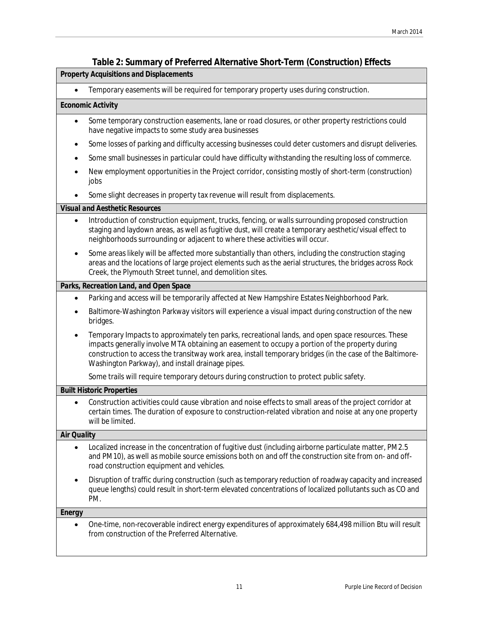### **Table 2: Summary of Preferred Alternative Short-Term (Construction) Effects**

|                                  | $\frac{1}{2}$ . Cammany of Fronting Filton native onor Fronti (constraction) Encots                                                                                                                                                                                                                                                                                  |  |  |  |  |
|----------------------------------|----------------------------------------------------------------------------------------------------------------------------------------------------------------------------------------------------------------------------------------------------------------------------------------------------------------------------------------------------------------------|--|--|--|--|
|                                  | <b>Property Acquisitions and Displacements</b>                                                                                                                                                                                                                                                                                                                       |  |  |  |  |
|                                  | Temporary easements will be required for temporary property uses during construction.                                                                                                                                                                                                                                                                                |  |  |  |  |
| Economic Activity                |                                                                                                                                                                                                                                                                                                                                                                      |  |  |  |  |
|                                  | Some temporary construction easements, lane or road closures, or other property restrictions could<br>have negative impacts to some study area businesses                                                                                                                                                                                                            |  |  |  |  |
|                                  | Some losses of parking and difficulty accessing businesses could deter customers and disrupt deliveries.                                                                                                                                                                                                                                                             |  |  |  |  |
|                                  | Some small businesses in particular could have difficulty withstanding the resulting loss of commerce.                                                                                                                                                                                                                                                               |  |  |  |  |
| jobs                             | New employment opportunities in the Project corridor, consisting mostly of short-term (construction)                                                                                                                                                                                                                                                                 |  |  |  |  |
|                                  | Some slight decreases in property tax revenue will result from displacements.                                                                                                                                                                                                                                                                                        |  |  |  |  |
|                                  | <b>Visual and Aesthetic Resources</b>                                                                                                                                                                                                                                                                                                                                |  |  |  |  |
|                                  | Introduction of construction equipment, trucks, fencing, or walls surrounding proposed construction<br>staging and laydown areas, as well as fugitive dust, will create a temporary aesthetic/visual effect to<br>neighborhoods surrounding or adjacent to where these activities will occur.                                                                        |  |  |  |  |
|                                  | Some areas likely will be affected more substantially than others, including the construction staging<br>areas and the locations of large project elements such as the aerial structures, the bridges across Rock<br>Creek, the Plymouth Street tunnel, and demolition sites.                                                                                        |  |  |  |  |
|                                  | Parks, Recreation Land, and Open Space                                                                                                                                                                                                                                                                                                                               |  |  |  |  |
| $\bullet$                        | Parking and access will be temporarily affected at New Hampshire Estates Neighborhood Park.                                                                                                                                                                                                                                                                          |  |  |  |  |
| bridges.                         | Baltimore-Washington Parkway visitors will experience a visual impact during construction of the new                                                                                                                                                                                                                                                                 |  |  |  |  |
|                                  | Temporary Impacts to approximately ten parks, recreational lands, and open space resources. These<br>impacts generally involve MTA obtaining an easement to occupy a portion of the property during<br>construction to access the transitway work area, install temporary bridges (in the case of the Baltimore-<br>Washington Parkway), and install drainage pipes. |  |  |  |  |
|                                  | Some trails will require temporary detours during construction to protect public safety.                                                                                                                                                                                                                                                                             |  |  |  |  |
| <b>Built Historic Properties</b> |                                                                                                                                                                                                                                                                                                                                                                      |  |  |  |  |
|                                  | Construction activities could cause vibration and noise effects to small areas of the project corridor at<br>certain times. The duration of exposure to construction-related vibration and noise at any one property<br>will be limited.                                                                                                                             |  |  |  |  |
| <b>Air Quality</b>               |                                                                                                                                                                                                                                                                                                                                                                      |  |  |  |  |
| $\bullet$                        | Localized increase in the concentration of fugitive dust (including airborne particulate matter, PM2.5<br>and PM10), as well as mobile source emissions both on and off the construction site from on- and off-<br>road construction equipment and vehicles.                                                                                                         |  |  |  |  |
| PM.                              | Disruption of traffic during construction (such as temporary reduction of roadway capacity and increased<br>queue lengths) could result in short-term elevated concentrations of localized pollutants such as CO and                                                                                                                                                 |  |  |  |  |
| Energy                           |                                                                                                                                                                                                                                                                                                                                                                      |  |  |  |  |
|                                  | One-time, non-recoverable indirect energy expenditures of approximately 684,498 million Btu will result<br>from construction of the Preferred Alternative.                                                                                                                                                                                                           |  |  |  |  |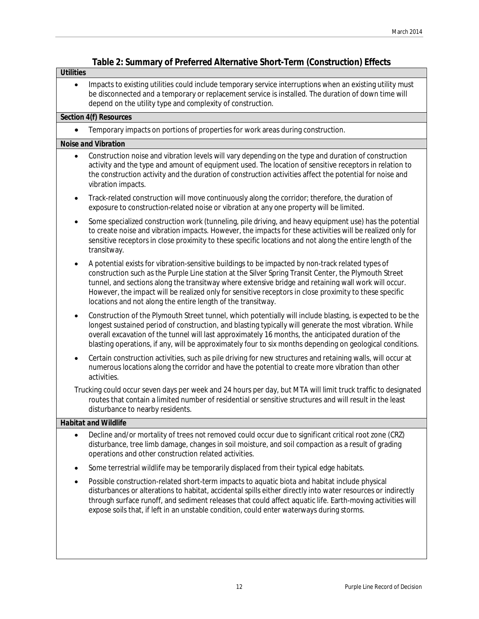### **Table 2: Summary of Preferred Alternative Short-Term (Construction) Effects**

### *Utilities*

• Impacts to existing utilities could include temporary service interruptions when an existing utility must be disconnected and a temporary or replacement service is installed. The duration of down time will depend on the utility type and complexity of construction.

### *Section 4(f) Resources*

• Temporary impacts on portions of properties for work areas during construction.

### *Noise and Vibration*

- Construction noise and vibration levels will vary depending on the type and duration of construction activity and the type and amount of equipment used. The location of sensitive receptors in relation to the construction activity and the duration of construction activities affect the potential for noise and vibration impacts.
- Track-related construction will move continuously along the corridor; therefore, the duration of exposure to construction-related noise or vibration at any one property will be limited.
- Some specialized construction work (tunneling, pile driving, and heavy equipment use) has the potential to create noise and vibration impacts. However, the impacts for these activities will be realized only for sensitive receptors in close proximity to these specific locations and not along the entire length of the transitway.
- x A potential exists for vibration-sensitive buildings to be impacted by non-track related types of construction such as the Purple Line station at the Silver Spring Transit Center, the Plymouth Street tunnel, and sections along the transitway where extensive bridge and retaining wall work will occur. However, the impact will be realized only for sensitive receptors in close proximity to these specific locations and not along the entire length of the transitway.
- x Construction of the Plymouth Street tunnel, which potentially will include blasting, is expected to be the longest sustained period of construction, and blasting typically will generate the most vibration. While overall excavation of the tunnel will last approximately 16 months, the anticipated duration of the blasting operations, if any, will be approximately four to six months depending on geological conditions.
- Certain construction activities, such as pile driving for new structures and retaining walls, will occur at numerous locations along the corridor and have the potential to create more vibration than other activities.

Trucking could occur seven days per week and 24 hours per day, but MTA will limit truck traffic to designated routes that contain a limited number of residential or sensitive structures and will result in the least disturbance to nearby residents.

### *Habitat and Wildlife*

- Decline and/or mortality of trees not removed could occur due to significant critical root zone (CRZ) disturbance, tree limb damage, changes in soil moisture, and soil compaction as a result of grading operations and other construction related activities.
- Some terrestrial wildlife may be temporarily displaced from their typical edge habitats.
- Possible construction-related short-term impacts to aquatic biota and habitat include physical disturbances or alterations to habitat, accidental spills either directly into water resources or indirectly through surface runoff, and sediment releases that could affect aquatic life. Earth-moving activities will expose soils that, if left in an unstable condition, could enter waterways during storms.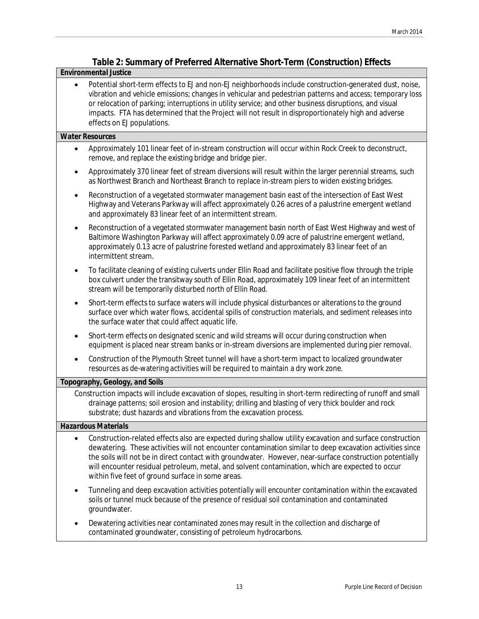## **Table 2: Summary of Preferred Alternative Short-Term (Construction) Effects**

### *Environmental Justice*

• Potential short-term effects to EJ and non-EJ neighborhoods include construction-generated dust, noise, vibration and vehicle emissions; changes in vehicular and pedestrian patterns and access; temporary loss or relocation of parking; interruptions in utility service; and other business disruptions, and visual impacts. FTA has determined that the Project will not result in disproportionately high and adverse effects on EJ populations.

### *Water Resources*

- Approximately 101 linear feet of in-stream construction will occur within Rock Creek to deconstruct, remove, and replace the existing bridge and bridge pier.
- Approximately 370 linear feet of stream diversions will result within the larger perennial streams, such as Northwest Branch and Northeast Branch to replace in-stream piers to widen existing bridges.
- Reconstruction of a vegetated stormwater management basin east of the intersection of East West Highway and Veterans Parkway will affect approximately 0.26 acres of a palustrine emergent wetland and approximately 83 linear feet of an intermittent stream.
- Reconstruction of a vegetated stormwater management basin north of East West Highway and west of Baltimore Washington Parkway will affect approximately 0.09 acre of palustrine emergent wetland, approximately 0.13 acre of palustrine forested wetland and approximately 83 linear feet of an intermittent stream.
- To facilitate cleaning of existing culverts under Ellin Road and facilitate positive flow through the triple box culvert under the transitway south of Ellin Road, approximately 109 linear feet of an intermittent stream will be temporarily disturbed north of Ellin Road.
- Short-term effects to surface waters will include physical disturbances or alterations to the ground surface over which water flows, accidental spills of construction materials, and sediment releases into the surface water that could affect aquatic life.
- Short-term effects on designated scenic and wild streams will occur during construction when equipment is placed near stream banks or in-stream diversions are implemented during pier removal.
- Construction of the Plymouth Street tunnel will have a short-term impact to localized groundwater resources as de-watering activities will be required to maintain a dry work zone.

### *Topography, Geology, and Soils*

Construction impacts will include excavation of slopes, resulting in short-term redirecting of runoff and small drainage patterns; soil erosion and instability; drilling and blasting of very thick boulder and rock substrate; dust hazards and vibrations from the excavation process.

#### *Hazardous Materials*

- Construction-related effects also are expected during shallow utility excavation and surface construction dewatering. These activities will not encounter contamination similar to deep excavation activities since the soils will not be in direct contact with groundwater. However, near-surface construction potentially will encounter residual petroleum, metal, and solvent contamination, which are expected to occur within five feet of ground surface in some areas.
- Tunneling and deep excavation activities potentially will encounter contamination within the excavated soils or tunnel muck because of the presence of residual soil contamination and contaminated groundwater.
- Dewatering activities near contaminated zones may result in the collection and discharge of contaminated groundwater, consisting of petroleum hydrocarbons.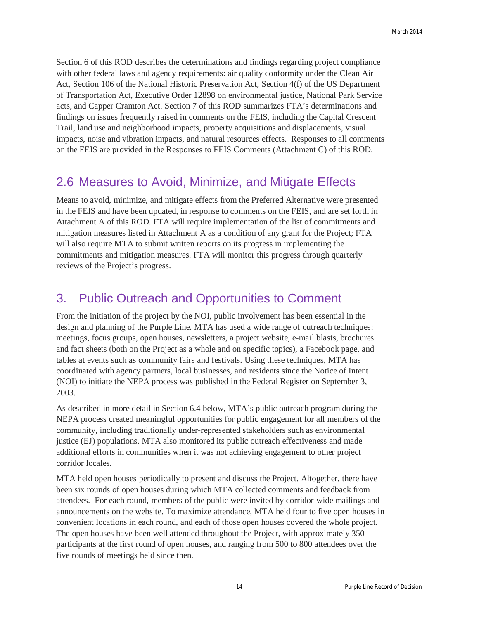Section 6 of this ROD describes the determinations and findings regarding project compliance with other federal laws and agency requirements: air quality conformity under the Clean Air Act, Section 106 of the National Historic Preservation Act, Section 4(f) of the US Department of Transportation Act, Executive Order 12898 on environmental justice, National Park Service acts, and Capper Cramton Act. Section 7 of this ROD summarizes FTA's determinations and findings on issues frequently raised in comments on the FEIS, including the Capital Crescent Trail, land use and neighborhood impacts, property acquisitions and displacements, visual impacts, noise and vibration impacts, and natural resources effects. Responses to all comments on the FEIS are provided in the Responses to FEIS Comments (Attachment C) of this ROD.

## 2.6 Measures to Avoid, Minimize, and Mitigate Effects

Means to avoid, minimize, and mitigate effects from the Preferred Alternative were presented in the FEIS and have been updated, in response to comments on the FEIS, and are set forth in Attachment A of this ROD. FTA will require implementation of the list of commitments and mitigation measures listed in Attachment A as a condition of any grant for the Project; FTA will also require MTA to submit written reports on its progress in implementing the commitments and mitigation measures. FTA will monitor this progress through quarterly reviews of the Project's progress.

# 3. Public Outreach and Opportunities to Comment

From the initiation of the project by the NOI, public involvement has been essential in the design and planning of the Purple Line. MTA has used a wide range of outreach techniques: meetings, focus groups, open houses, newsletters, a project website, e-mail blasts, brochures and fact sheets (both on the Project as a whole and on specific topics), a Facebook page, and tables at events such as community fairs and festivals. Using these techniques, MTA has coordinated with agency partners, local businesses, and residents since the Notice of Intent (NOI) to initiate the NEPA process was published in the Federal Register on September 3, 2003.

As described in more detail in Section 6.4 below, MTA's public outreach program during the NEPA process created meaningful opportunities for public engagement for all members of the community, including traditionally under-represented stakeholders such as environmental justice (EJ) populations. MTA also monitored its public outreach effectiveness and made additional efforts in communities when it was not achieving engagement to other project corridor locales.

MTA held open houses periodically to present and discuss the Project. Altogether, there have been six rounds of open houses during which MTA collected comments and feedback from attendees. For each round, members of the public were invited by corridor-wide mailings and announcements on the website. To maximize attendance, MTA held four to five open houses in convenient locations in each round, and each of those open houses covered the whole project. The open houses have been well attended throughout the Project, with approximately 350 participants at the first round of open houses, and ranging from 500 to 800 attendees over the five rounds of meetings held since then.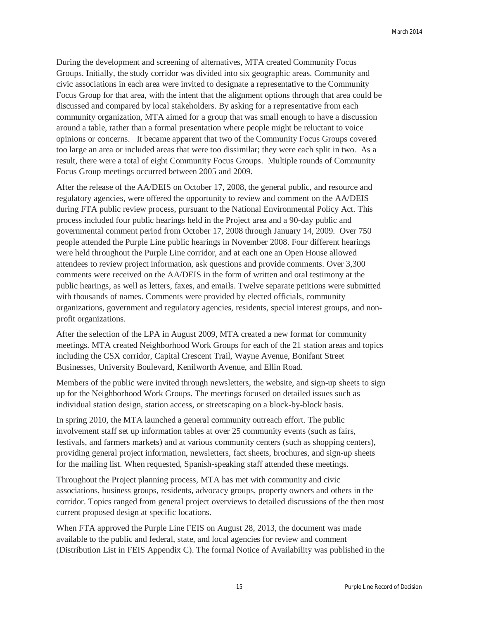During the development and screening of alternatives, MTA created Community Focus Groups. Initially, the study corridor was divided into six geographic areas. Community and civic associations in each area were invited to designate a representative to the Community Focus Group for that area, with the intent that the alignment options through that area could be discussed and compared by local stakeholders. By asking for a representative from each community organization, MTA aimed for a group that was small enough to have a discussion around a table, rather than a formal presentation where people might be reluctant to voice opinions or concerns. It became apparent that two of the Community Focus Groups covered too large an area or included areas that were too dissimilar; they were each split in two. As a result, there were a total of eight Community Focus Groups. Multiple rounds of Community Focus Group meetings occurred between 2005 and 2009.

After the release of the AA/DEIS on October 17, 2008, the general public, and resource and regulatory agencies, were offered the opportunity to review and comment on the AA/DEIS during FTA public review process, pursuant to the National Environmental Policy Act. This process included four public hearings held in the Project area and a 90-day public and governmental comment period from October 17, 2008 through January 14, 2009. Over 750 people attended the Purple Line public hearings in November 2008. Four different hearings were held throughout the Purple Line corridor, and at each one an Open House allowed attendees to review project information, ask questions and provide comments. Over 3,300 comments were received on the AA/DEIS in the form of written and oral testimony at the public hearings, as well as letters, faxes, and emails. Twelve separate petitions were submitted with thousands of names. Comments were provided by elected officials, community organizations, government and regulatory agencies, residents, special interest groups, and nonprofit organizations.

After the selection of the LPA in August 2009, MTA created a new format for community meetings. MTA created Neighborhood Work Groups for each of the 21 station areas and topics including the CSX corridor, Capital Crescent Trail, Wayne Avenue, Bonifant Street Businesses, University Boulevard, Kenilworth Avenue, and Ellin Road.

Members of the public were invited through newsletters, the website, and sign-up sheets to sign up for the Neighborhood Work Groups. The meetings focused on detailed issues such as individual station design, station access, or streetscaping on a block-by-block basis.

In spring 2010, the MTA launched a general community outreach effort. The public involvement staff set up information tables at over 25 community events (such as fairs, festivals, and farmers markets) and at various community centers (such as shopping centers), providing general project information, newsletters, fact sheets, brochures, and sign-up sheets for the mailing list. When requested, Spanish-speaking staff attended these meetings.

Throughout the Project planning process, MTA has met with community and civic associations, business groups, residents, advocacy groups, property owners and others in the corridor. Topics ranged from general project overviews to detailed discussions of the then most current proposed design at specific locations.

When FTA approved the Purple Line FEIS on August 28, 2013, the document was made available to the public and federal, state, and local agencies for review and comment (Distribution List in FEIS Appendix C). The formal Notice of Availability was published in the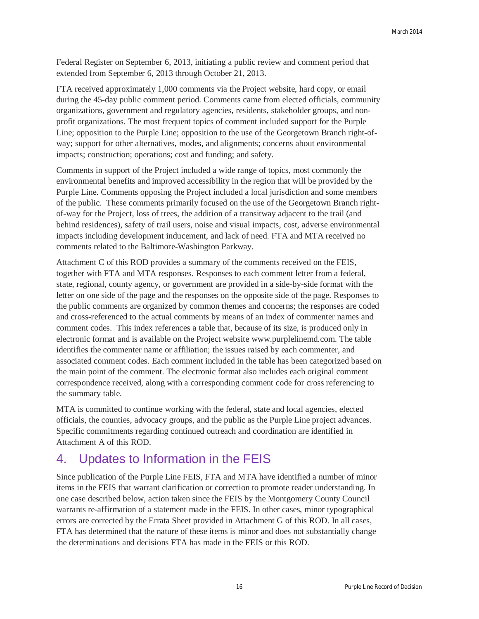Federal Register on September 6, 2013, initiating a public review and comment period that extended from September 6, 2013 through October 21, 2013.

FTA received approximately 1,000 comments via the Project website, hard copy, or email during the 45-day public comment period. Comments came from elected officials, community organizations, government and regulatory agencies, residents, stakeholder groups, and nonprofit organizations. The most frequent topics of comment included support for the Purple Line; opposition to the Purple Line; opposition to the use of the Georgetown Branch right-ofway; support for other alternatives, modes, and alignments; concerns about environmental impacts; construction; operations; cost and funding; and safety.

Comments in support of the Project included a wide range of topics, most commonly the environmental benefits and improved accessibility in the region that will be provided by the Purple Line. Comments opposing the Project included a local jurisdiction and some members of the public. These comments primarily focused on the use of the Georgetown Branch rightof-way for the Project, loss of trees, the addition of a transitway adjacent to the trail (and behind residences), safety of trail users, noise and visual impacts, cost, adverse environmental impacts including development inducement, and lack of need. FTA and MTA received no comments related to the Baltimore-Washington Parkway.

Attachment C of this ROD provides a summary of the comments received on the FEIS, together with FTA and MTA responses. Responses to each comment letter from a federal, state, regional, county agency, or government are provided in a side-by-side format with the letter on one side of the page and the responses on the opposite side of the page. Responses to the public comments are organized by common themes and concerns; the responses are coded and cross-referenced to the actual comments by means of an index of commenter names and comment codes. This index references a table that, because of its size, is produced only in electronic format and is available on the Project website www.purplelinemd.com. The table identifies the commenter name or affiliation; the issues raised by each commenter, and associated comment codes. Each comment included in the table has been categorized based on the main point of the comment. The electronic format also includes each original comment correspondence received, along with a corresponding comment code for cross referencing to the summary table.

MTA is committed to continue working with the federal, state and local agencies, elected officials, the counties, advocacy groups, and the public as the Purple Line project advances. Specific commitments regarding continued outreach and coordination are identified in Attachment A of this ROD.

# 4. Updates to Information in the FEIS

Since publication of the Purple Line FEIS, FTA and MTA have identified a number of minor items in the FEIS that warrant clarification or correction to promote reader understanding. In one case described below, action taken since the FEIS by the Montgomery County Council warrants re-affirmation of a statement made in the FEIS. In other cases, minor typographical errors are corrected by the Errata Sheet provided in Attachment G of this ROD. In all cases, FTA has determined that the nature of these items is minor and does not substantially change the determinations and decisions FTA has made in the FEIS or this ROD.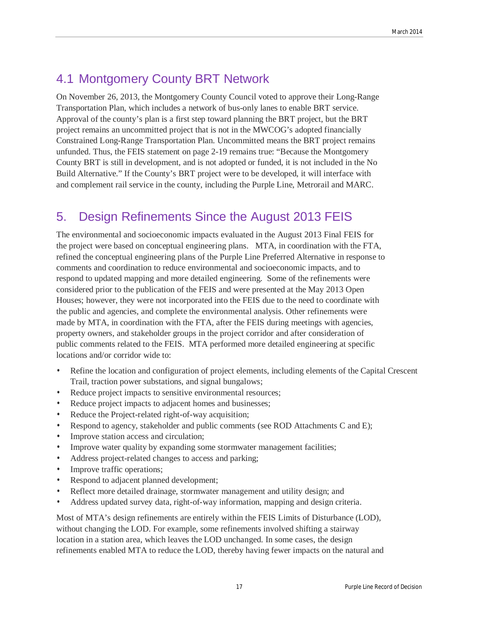# 4.1 Montgomery County BRT Network

On November 26, 2013, the Montgomery County Council voted to approve their Long-Range Transportation Plan, which includes a network of bus-only lanes to enable BRT service. Approval of the county's plan is a first step toward planning the BRT project, but the BRT project remains an uncommitted project that is not in the MWCOG's adopted financially Constrained Long-Range Transportation Plan. Uncommitted means the BRT project remains unfunded. Thus, the FEIS statement on page 2-19 remains true: "Because the Montgomery County BRT is still in development, and is not adopted or funded, it is not included in the No Build Alternative." If the County's BRT project were to be developed, it will interface with and complement rail service in the county, including the Purple Line, Metrorail and MARC.

# 5. Design Refinements Since the August 2013 FEIS

The environmental and socioeconomic impacts evaluated in the August 2013 Final FEIS for the project were based on conceptual engineering plans. MTA, in coordination with the FTA, refined the conceptual engineering plans of the Purple Line Preferred Alternative in response to comments and coordination to reduce environmental and socioeconomic impacts, and to respond to updated mapping and more detailed engineering. Some of the refinements were considered prior to the publication of the FEIS and were presented at the May 2013 Open Houses; however, they were not incorporated into the FEIS due to the need to coordinate with the public and agencies, and complete the environmental analysis. Other refinements were made by MTA, in coordination with the FTA, after the FEIS during meetings with agencies, property owners, and stakeholder groups in the project corridor and after consideration of public comments related to the FEIS. MTA performed more detailed engineering at specific locations and/or corridor wide to:

- Refine the location and configuration of project elements, including elements of the Capital Crescent Trail, traction power substations, and signal bungalows;
- Reduce project impacts to sensitive environmental resources;
- Reduce project impacts to adjacent homes and businesses;
- Reduce the Project-related right-of-way acquisition;
- Respond to agency, stakeholder and public comments (see ROD Attachments C and E);
- Improve station access and circulation;
- Improve water quality by expanding some stormwater management facilities;
- Address project-related changes to access and parking;
- Improve traffic operations;
- Respond to adjacent planned development;
- Reflect more detailed drainage, stormwater management and utility design; and
- Address updated survey data, right-of-way information, mapping and design criteria.

Most of MTA's design refinements are entirely within the FEIS Limits of Disturbance (LOD), without changing the LOD. For example, some refinements involved shifting a stairway location in a station area, which leaves the LOD unchanged. In some cases, the design refinements enabled MTA to reduce the LOD, thereby having fewer impacts on the natural and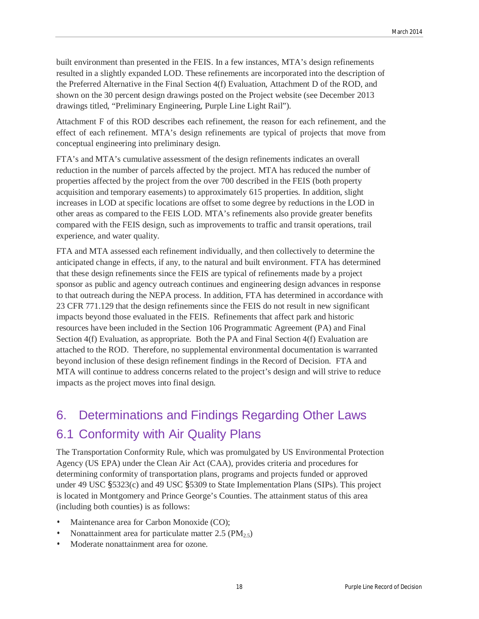built environment than presented in the FEIS. In a few instances, MTA's design refinements resulted in a slightly expanded LOD. These refinements are incorporated into the description of the Preferred Alternative in the Final Section 4(f) Evaluation, Attachment D of the ROD, and shown on the 30 percent design drawings posted on the Project website (see December 2013 drawings titled, "Preliminary Engineering, Purple Line Light Rail").

Attachment F of this ROD describes each refinement, the reason for each refinement, and the effect of each refinement. MTA's design refinements are typical of projects that move from conceptual engineering into preliminary design.

FTA's and MTA's cumulative assessment of the design refinements indicates an overall reduction in the number of parcels affected by the project. MTA has reduced the number of properties affected by the project from the over 700 described in the FEIS (both property acquisition and temporary easements) to approximately 615 properties. In addition, slight increases in LOD at specific locations are offset to some degree by reductions in the LOD in other areas as compared to the FEIS LOD. MTA's refinements also provide greater benefits compared with the FEIS design, such as improvements to traffic and transit operations, trail experience, and water quality.

FTA and MTA assessed each refinement individually, and then collectively to determine the anticipated change in effects, if any, to the natural and built environment. FTA has determined that these design refinements since the FEIS are typical of refinements made by a project sponsor as public and agency outreach continues and engineering design advances in response to that outreach during the NEPA process. In addition, FTA has determined in accordance with 23 CFR 771.129 that the design refinements since the FEIS do not result in new significant impacts beyond those evaluated in the FEIS. Refinements that affect park and historic resources have been included in the Section 106 Programmatic Agreement (PA) and Final Section 4(f) Evaluation, as appropriate. Both the PA and Final Section 4(f) Evaluation are attached to the ROD. Therefore, no supplemental environmental documentation is warranted beyond inclusion of these design refinement findings in the Record of Decision. FTA and MTA will continue to address concerns related to the project's design and will strive to reduce impacts as the project moves into final design.

# 6. Determinations and Findings Regarding Other Laws 6.1 Conformity with Air Quality Plans

The Transportation Conformity Rule, which was promulgated by US Environmental Protection Agency (US EPA) under the Clean Air Act (CAA), provides criteria and procedures for determining conformity of transportation plans, programs and projects funded or approved under 49 USC §5323(c) and 49 USC §5309 to State Implementation Plans (SIPs). This project is located in Montgomery and Prince George's Counties. The attainment status of this area (including both counties) is as follows:

- Maintenance area for Carbon Monoxide (CO);
- Nonattainment area for particulate matter  $2.5 \, (\text{PM}_2, 5)$
- Moderate nonattainment area for ozone.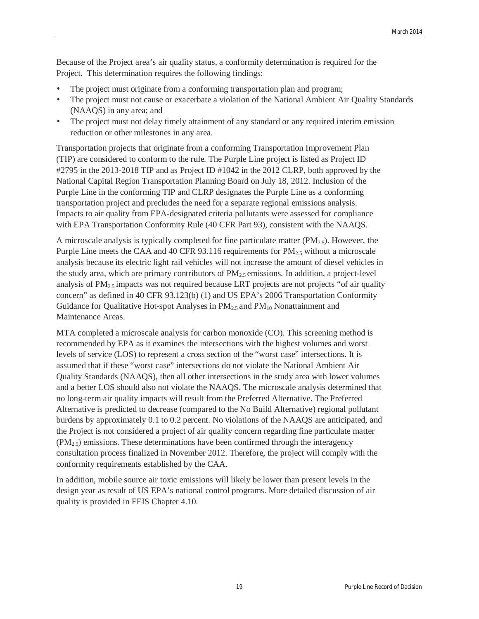Because of the Project area's air quality status, a conformity determination is required for the Project. This determination requires the following findings:

- The project must originate from a conforming transportation plan and program;
- The project must not cause or exacerbate a violation of the National Ambient Air Quality Standards (NAAQS) in any area; and
- The project must not delay timely attainment of any standard or any required interim emission reduction or other milestones in any area.

Transportation projects that originate from a conforming Transportation Improvement Plan (TIP) are considered to conform to the rule. The Purple Line project is listed as Project ID #2795 in the 2013-2018 TIP and as Project ID #1042 in the 2012 CLRP, both approved by the National Capital Region Transportation Planning Board on July 18, 2012. Inclusion of the Purple Line in the conforming TIP and CLRP designates the Purple Line as a conforming transportation project and precludes the need for a separate regional emissions analysis. Impacts to air quality from EPA-designated criteria pollutants were assessed for compliance with EPA Transportation Conformity Rule (40 CFR Part 93), consistent with the NAAQS.

A microscale analysis is typically completed for fine particulate matter  $(PM_{2.5})$ . However, the Purple Line meets the CAA and 40 CFR 93.116 requirements for  $PM_{2.5}$  without a microscale analysis because its electric light rail vehicles will not increase the amount of diesel vehicles in the study area, which are primary contributors of  $PM_{2.5}$  emissions. In addition, a project-level analysis of  $PM_{2.5}$  impacts was not required because LRT projects are not projects "of air quality" concern" as defined in 40 CFR 93.123(b) (1) and US EPA's 2006 Transportation Conformity Guidance for Qualitative Hot-spot Analyses in  $PM_{2.5}$  and  $PM_{10}$  Nonattainment and Maintenance Areas.

MTA completed a microscale analysis for carbon monoxide (CO). This screening method is recommended by EPA as it examines the intersections with the highest volumes and worst levels of service (LOS) to represent a cross section of the "worst case" intersections. It is assumed that if these "worst case" intersections do not violate the National Ambient Air Quality Standards (NAAQS), then all other intersections in the study area with lower volumes and a better LOS should also not violate the NAAQS. The microscale analysis determined that no long-term air quality impacts will result from the Preferred Alternative. The Preferred Alternative is predicted to decrease (compared to the No Build Alternative) regional pollutant burdens by approximately 0.1 to 0.2 percent. No violations of the NAAQS are anticipated, and the Project is not considered a project of air quality concern regarding fine particulate matter  $(PM_{2.5})$  emissions. These determinations have been confirmed through the interagency consultation process finalized in November 2012. Therefore, the project will comply with the conformity requirements established by the CAA.

In addition, mobile source air toxic emissions will likely be lower than present levels in the design year as result of US EPA's national control programs. More detailed discussion of air quality is provided in FEIS Chapter 4.10.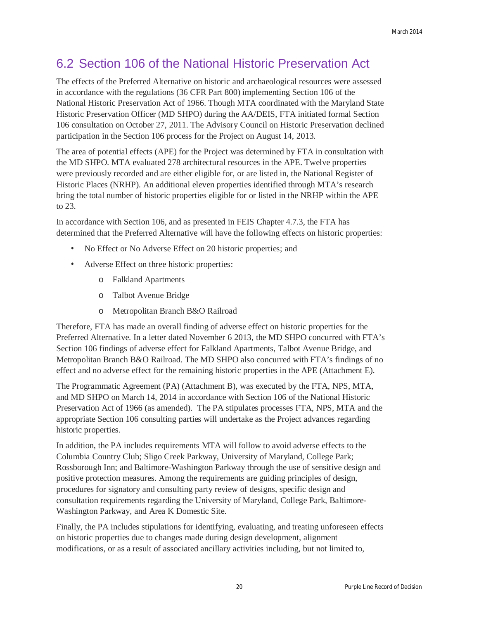# 6.2 Section 106 of the National Historic Preservation Act

The effects of the Preferred Alternative on historic and archaeological resources were assessed in accordance with the regulations (36 CFR Part 800) implementing Section 106 of the National Historic Preservation Act of 1966. Though MTA coordinated with the Maryland State Historic Preservation Officer (MD SHPO) during the AA/DEIS, FTA initiated formal Section 106 consultation on October 27, 2011. The Advisory Council on Historic Preservation declined participation in the Section 106 process for the Project on August 14, 2013.

The area of potential effects (APE) for the Project was determined by FTA in consultation with the MD SHPO. MTA evaluated 278 architectural resources in the APE. Twelve properties were previously recorded and are either eligible for, or are listed in, the National Register of Historic Places (NRHP). An additional eleven properties identified through MTA's research bring the total number of historic properties eligible for or listed in the NRHP within the APE to 23.

In accordance with Section 106, and as presented in FEIS Chapter 4.7.3, the FTA has determined that the Preferred Alternative will have the following effects on historic properties:

- No Effect or No Adverse Effect on 20 historic properties; and
- Adverse Effect on three historic properties:
	- o Falkland Apartments
	- o Talbot Avenue Bridge
	- o Metropolitan Branch B&O Railroad

Therefore, FTA has made an overall finding of adverse effect on historic properties for the Preferred Alternative. In a letter dated November 6 2013, the MD SHPO concurred with FTA's Section 106 findings of adverse effect for Falkland Apartments, Talbot Avenue Bridge, and Metropolitan Branch B&O Railroad. The MD SHPO also concurred with FTA's findings of no effect and no adverse effect for the remaining historic properties in the APE (Attachment E).

The Programmatic Agreement (PA) (Attachment B), was executed by the FTA, NPS, MTA, and MD SHPO on March 14, 2014 in accordance with Section 106 of the National Historic Preservation Act of 1966 (as amended). The PA stipulates processes FTA, NPS, MTA and the appropriate Section 106 consulting parties will undertake as the Project advances regarding historic properties.

In addition, the PA includes requirements MTA will follow to avoid adverse effects to the Columbia Country Club; Sligo Creek Parkway, University of Maryland, College Park; Rossborough Inn; and Baltimore-Washington Parkway through the use of sensitive design and positive protection measures. Among the requirements are guiding principles of design, procedures for signatory and consulting party review of designs, specific design and consultation requirements regarding the University of Maryland, College Park, Baltimore-Washington Parkway, and Area K Domestic Site.

Finally, the PA includes stipulations for identifying, evaluating, and treating unforeseen effects on historic properties due to changes made during design development, alignment modifications, or as a result of associated ancillary activities including, but not limited to,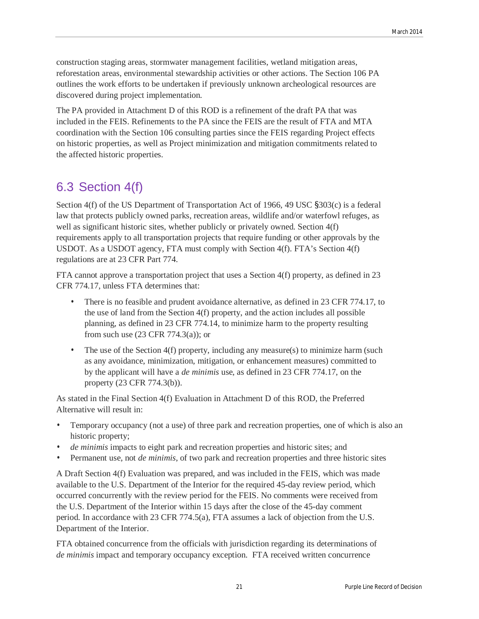construction staging areas, stormwater management facilities, wetland mitigation areas, reforestation areas, environmental stewardship activities or other actions. The Section 106 PA outlines the work efforts to be undertaken if previously unknown archeological resources are discovered during project implementation.

The PA provided in Attachment D of this ROD is a refinement of the draft PA that was included in the FEIS. Refinements to the PA since the FEIS are the result of FTA and MTA coordination with the Section 106 consulting parties since the FEIS regarding Project effects on historic properties, as well as Project minimization and mitigation commitments related to the affected historic properties.

# 6.3 Section 4(f)

Section 4(f) of the US Department of Transportation Act of 1966, 49 USC §303(c) is a federal law that protects publicly owned parks, recreation areas, wildlife and/or waterfowl refuges, as well as significant historic sites, whether publicly or privately owned. Section 4(f) requirements apply to all transportation projects that require funding or other approvals by the USDOT. As a USDOT agency, FTA must comply with Section 4(f). FTA's Section 4(f) regulations are at 23 CFR Part 774.

FTA cannot approve a transportation project that uses a Section 4(f) property, as defined in 23 CFR 774.17, unless FTA determines that:

- There is no feasible and prudent avoidance alternative, as defined in 23 CFR 774.17, to the use of land from the Section 4(f) property, and the action includes all possible planning, as defined in 23 CFR 774.14, to minimize harm to the property resulting from such use (23 CFR 774.3(a)); or
- The use of the Section 4(f) property, including any measure(s) to minimize harm (such as any avoidance, minimization, mitigation, or enhancement measures) committed to by the applicant will have a *de minimis* use, as defined in 23 CFR 774.17, on the property (23 CFR 774.3(b)).

As stated in the Final Section 4(f) Evaluation in Attachment D of this ROD, the Preferred Alternative will result in:

- Temporary occupancy (not a use) of three park and recreation properties, one of which is also an historic property;
- *de minimis* impacts to eight park and recreation properties and historic sites; and
- Permanent use, not *de minimis*, of two park and recreation properties and three historic sites

A Draft Section 4(f) Evaluation was prepared, and was included in the FEIS, which was made available to the U.S. Department of the Interior for the required 45-day review period, which occurred concurrently with the review period for the FEIS. No comments were received from the U.S. Department of the Interior within 15 days after the close of the 45-day comment period. In accordance with 23 CFR 774.5(a), FTA assumes a lack of objection from the U.S. Department of the Interior.

FTA obtained concurrence from the officials with jurisdiction regarding its determinations of *de minimis* impact and temporary occupancy exception. FTA received written concurrence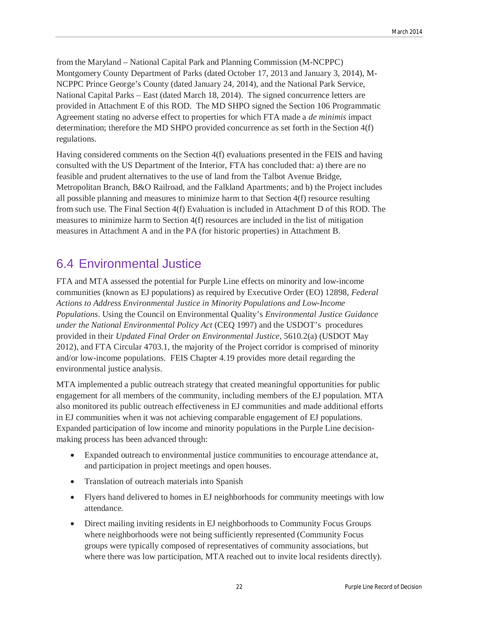from the Maryland – National Capital Park and Planning Commission (M-NCPPC) Montgomery County Department of Parks (dated October 17, 2013 and January 3, 2014), M-NCPPC Prince George's County (dated January 24, 2014), and the National Park Service, National Capital Parks – East (dated March 18, 2014). The signed concurrence letters are provided in Attachment E of this ROD. The MD SHPO signed the Section 106 Programmatic Agreement stating no adverse effect to properties for which FTA made a *de minimis* impact determination; therefore the MD SHPO provided concurrence as set forth in the Section 4(f) regulations.

Having considered comments on the Section 4(f) evaluations presented in the FEIS and having consulted with the US Department of the Interior, FTA has concluded that: a) there are no feasible and prudent alternatives to the use of land from the Talbot Avenue Bridge, Metropolitan Branch, B&O Railroad, and the Falkland Apartments; and b) the Project includes all possible planning and measures to minimize harm to that Section 4(f) resource resulting from such use. The Final Section 4(f) Evaluation is included in Attachment D of this ROD. The measures to minimize harm to Section 4(f) resources are included in the list of mitigation measures in Attachment A and in the PA (for historic properties) in Attachment B.

# 6.4 Environmental Justice

FTA and MTA assessed the potential for Purple Line effects on minority and low-income communities (known as EJ populations) as required by Executive Order (EO) 12898, *Federal Actions to Address Environmental Justice in Minority Populations and Low-Income Populations*. Using the Council on Environmental Quality's *Environmental Justice Guidance under the National Environmental Policy Act* (CEQ 1997) and the USDOT's procedures provided in their *Updated Final Order on Environmental Justice*, 5610.2(a) (USDOT May 2012), and FTA Circular 4703.1, the majority of the Project corridor is comprised of minority and/or low-income populations. FEIS Chapter 4.19 provides more detail regarding the environmental justice analysis.

MTA implemented a public outreach strategy that created meaningful opportunities for public engagement for all members of the community, including members of the EJ population. MTA also monitored its public outreach effectiveness in EJ communities and made additional efforts in EJ communities when it was not achieving comparable engagement of EJ populations. Expanded participation of low income and minority populations in the Purple Line decisionmaking process has been advanced through:

- Expanded outreach to environmental justice communities to encourage attendance at, and participation in project meetings and open houses.
- Translation of outreach materials into Spanish
- Flyers hand delivered to homes in EJ neighborhoods for community meetings with low attendance.
- Direct mailing inviting residents in EJ neighborhoods to Community Focus Groups where neighborhoods were not being sufficiently represented (Community Focus groups were typically composed of representatives of community associations, but where there was low participation, MTA reached out to invite local residents directly).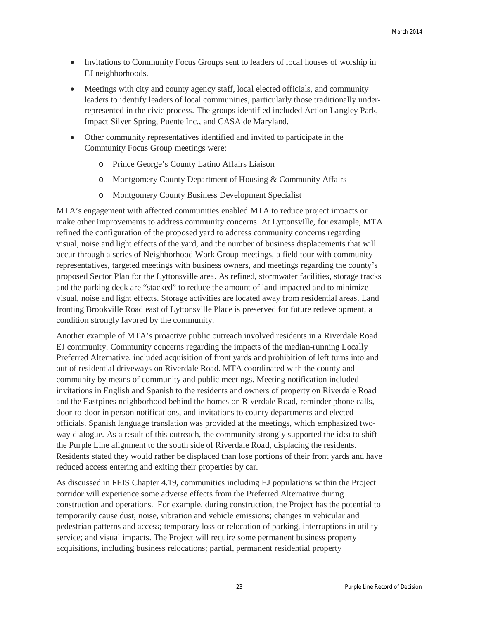- Invitations to Community Focus Groups sent to leaders of local houses of worship in EJ neighborhoods.
- Meetings with city and county agency staff, local elected officials, and community leaders to identify leaders of local communities, particularly those traditionally underrepresented in the civic process. The groups identified included Action Langley Park, Impact Silver Spring, Puente Inc., and CASA de Maryland.
- Other community representatives identified and invited to participate in the Community Focus Group meetings were:
	- o Prince George's County Latino Affairs Liaison
	- o Montgomery County Department of Housing & Community Affairs
	- o Montgomery County Business Development Specialist

MTA's engagement with affected communities enabled MTA to reduce project impacts or make other improvements to address community concerns. At Lyttonsville, for example, MTA refined the configuration of the proposed yard to address community concerns regarding visual, noise and light effects of the yard, and the number of business displacements that will occur through a series of Neighborhood Work Group meetings, a field tour with community representatives, targeted meetings with business owners, and meetings regarding the county's proposed Sector Plan for the Lyttonsville area. As refined, stormwater facilities, storage tracks and the parking deck are "stacked" to reduce the amount of land impacted and to minimize visual, noise and light effects. Storage activities are located away from residential areas. Land fronting Brookville Road east of Lyttonsville Place is preserved for future redevelopment, a condition strongly favored by the community.

Another example of MTA's proactive public outreach involved residents in a Riverdale Road EJ community. Community concerns regarding the impacts of the median-running Locally Preferred Alternative, included acquisition of front yards and prohibition of left turns into and out of residential driveways on Riverdale Road. MTA coordinated with the county and community by means of community and public meetings. Meeting notification included invitations in English and Spanish to the residents and owners of property on Riverdale Road and the Eastpines neighborhood behind the homes on Riverdale Road, reminder phone calls, door-to-door in person notifications, and invitations to county departments and elected officials. Spanish language translation was provided at the meetings, which emphasized twoway dialogue. As a result of this outreach, the community strongly supported the idea to shift the Purple Line alignment to the south side of Riverdale Road, displacing the residents. Residents stated they would rather be displaced than lose portions of their front yards and have reduced access entering and exiting their properties by car.

As discussed in FEIS Chapter 4.19, communities including EJ populations within the Project corridor will experience some adverse effects from the Preferred Alternative during construction and operations. For example, during construction, the Project has the potential to temporarily cause dust, noise, vibration and vehicle emissions; changes in vehicular and pedestrian patterns and access; temporary loss or relocation of parking, interruptions in utility service; and visual impacts. The Project will require some permanent business property acquisitions, including business relocations; partial, permanent residential property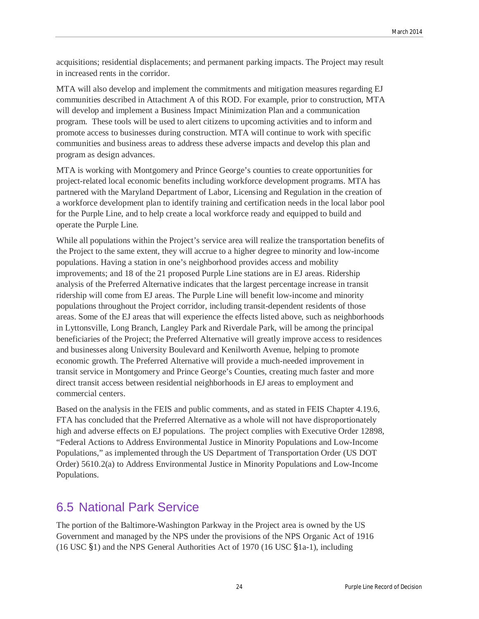acquisitions; residential displacements; and permanent parking impacts. The Project may result in increased rents in the corridor.

MTA will also develop and implement the commitments and mitigation measures regarding EJ communities described in Attachment A of this ROD. For example, prior to construction, MTA will develop and implement a Business Impact Minimization Plan and a communication program. These tools will be used to alert citizens to upcoming activities and to inform and promote access to businesses during construction. MTA will continue to work with specific communities and business areas to address these adverse impacts and develop this plan and program as design advances.

MTA is working with Montgomery and Prince George's counties to create opportunities for project-related local economic benefits including workforce development programs. MTA has partnered with the Maryland Department of Labor, Licensing and Regulation in the creation of a workforce development plan to identify training and certification needs in the local labor pool for the Purple Line, and to help create a local workforce ready and equipped to build and operate the Purple Line.

While all populations within the Project's service area will realize the transportation benefits of the Project to the same extent, they will accrue to a higher degree to minority and low-income populations. Having a station in one's neighborhood provides access and mobility improvements; and 18 of the 21 proposed Purple Line stations are in EJ areas. Ridership analysis of the Preferred Alternative indicates that the largest percentage increase in transit ridership will come from EJ areas. The Purple Line will benefit low-income and minority populations throughout the Project corridor, including transit-dependent residents of those areas. Some of the EJ areas that will experience the effects listed above, such as neighborhoods in Lyttonsville, Long Branch, Langley Park and Riverdale Park, will be among the principal beneficiaries of the Project; the Preferred Alternative will greatly improve access to residences and businesses along University Boulevard and Kenilworth Avenue, helping to promote economic growth. The Preferred Alternative will provide a much-needed improvement in transit service in Montgomery and Prince George's Counties, creating much faster and more direct transit access between residential neighborhoods in EJ areas to employment and commercial centers.

Based on the analysis in the FEIS and public comments, and as stated in FEIS Chapter 4.19.6, FTA has concluded that the Preferred Alternative as a whole will not have disproportionately high and adverse effects on EJ populations. The project complies with Executive Order 12898, "Federal Actions to Address Environmental Justice in Minority Populations and Low-Income Populations," as implemented through the US Department of Transportation Order (US DOT Order) 5610.2(a) to Address Environmental Justice in Minority Populations and Low-Income Populations.

## 6.5 National Park Service

The portion of the Baltimore-Washington Parkway in the Project area is owned by the US Government and managed by the NPS under the provisions of the NPS Organic Act of 1916 (16 USC §1) and the NPS General Authorities Act of 1970 (16 USC §1a-1), including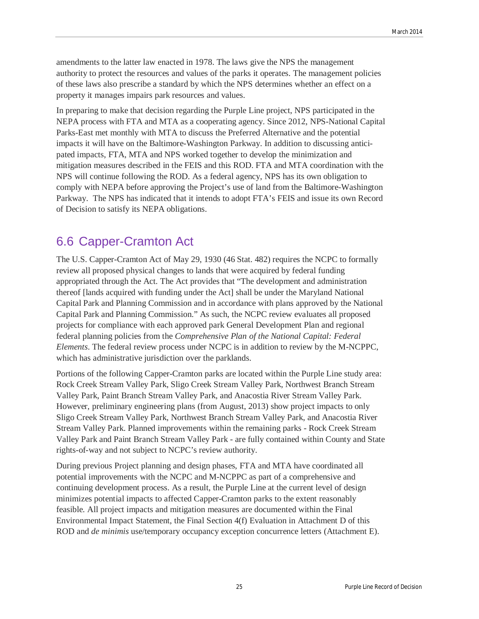amendments to the latter law enacted in 1978. The laws give the NPS the management authority to protect the resources and values of the parks it operates. The management policies of these laws also prescribe a standard by which the NPS determines whether an effect on a property it manages impairs park resources and values.

In preparing to make that decision regarding the Purple Line project, NPS participated in the NEPA process with FTA and MTA as a cooperating agency. Since 2012, NPS-National Capital Parks-East met monthly with MTA to discuss the Preferred Alternative and the potential impacts it will have on the Baltimore-Washington Parkway. In addition to discussing anticipated impacts, FTA, MTA and NPS worked together to develop the minimization and mitigation measures described in the FEIS and this ROD. FTA and MTA coordination with the NPS will continue following the ROD. As a federal agency, NPS has its own obligation to comply with NEPA before approving the Project's use of land from the Baltimore-Washington Parkway. The NPS has indicated that it intends to adopt FTA's FEIS and issue its own Record of Decision to satisfy its NEPA obligations.

## 6.6 Capper-Cramton Act

The U.S. Capper-Cramton Act of May 29, 1930 (46 Stat. 482) requires the NCPC to formally review all proposed physical changes to lands that were acquired by federal funding appropriated through the Act. The Act provides that "The development and administration thereof [lands acquired with funding under the Act] shall be under the Maryland National Capital Park and Planning Commission and in accordance with plans approved by the National Capital Park and Planning Commission." As such, the NCPC review evaluates all proposed projects for compliance with each approved park General Development Plan and regional federal planning policies from the *Comprehensive Plan of the National Capital: Federal Elements*. The federal review process under NCPC is in addition to review by the M-NCPPC, which has administrative jurisdiction over the parklands.

Portions of the following Capper-Cramton parks are located within the Purple Line study area: Rock Creek Stream Valley Park, Sligo Creek Stream Valley Park, Northwest Branch Stream Valley Park, Paint Branch Stream Valley Park, and Anacostia River Stream Valley Park. However, preliminary engineering plans (from August, 2013) show project impacts to only Sligo Creek Stream Valley Park, Northwest Branch Stream Valley Park, and Anacostia River Stream Valley Park. Planned improvements within the remaining parks - Rock Creek Stream Valley Park and Paint Branch Stream Valley Park - are fully contained within County and State rights-of-way and not subject to NCPC's review authority.

During previous Project planning and design phases, FTA and MTA have coordinated all potential improvements with the NCPC and M-NCPPC as part of a comprehensive and continuing development process. As a result, the Purple Line at the current level of design minimizes potential impacts to affected Capper-Cramton parks to the extent reasonably feasible. All project impacts and mitigation measures are documented within the Final Environmental Impact Statement, the Final Section 4(f) Evaluation in Attachment D of this ROD and *de minimis* use/temporary occupancy exception concurrence letters (Attachment E).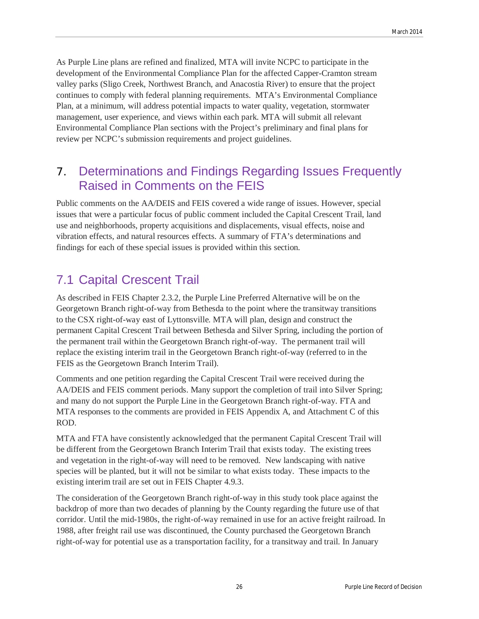As Purple Line plans are refined and finalized, MTA will invite NCPC to participate in the development of the Environmental Compliance Plan for the affected Capper-Cramton stream valley parks (Sligo Creek, Northwest Branch, and Anacostia River) to ensure that the project continues to comply with federal planning requirements. MTA's Environmental Compliance Plan, at a minimum, will address potential impacts to water quality, vegetation, stormwater management, user experience, and views within each park. MTA will submit all relevant Environmental Compliance Plan sections with the Project's preliminary and final plans for review per NCPC's submission requirements and project guidelines.

## 7. Determinations and Findings Regarding Issues Frequently Raised in Comments on the FEIS

Public comments on the AA/DEIS and FEIS covered a wide range of issues. However, special issues that were a particular focus of public comment included the Capital Crescent Trail, land use and neighborhoods, property acquisitions and displacements, visual effects, noise and vibration effects, and natural resources effects. A summary of FTA's determinations and findings for each of these special issues is provided within this section.

# 7.1 Capital Crescent Trail

As described in FEIS Chapter 2.3.2, the Purple Line Preferred Alternative will be on the Georgetown Branch right-of-way from Bethesda to the point where the transitway transitions to the CSX right-of-way east of Lyttonsville. MTA will plan, design and construct the permanent Capital Crescent Trail between Bethesda and Silver Spring, including the portion of the permanent trail within the Georgetown Branch right-of-way. The permanent trail will replace the existing interim trail in the Georgetown Branch right-of-way (referred to in the FEIS as the Georgetown Branch Interim Trail).

Comments and one petition regarding the Capital Crescent Trail were received during the AA/DEIS and FEIS comment periods. Many support the completion of trail into Silver Spring; and many do not support the Purple Line in the Georgetown Branch right-of-way. FTA and MTA responses to the comments are provided in FEIS Appendix A, and Attachment C of this ROD.

MTA and FTA have consistently acknowledged that the permanent Capital Crescent Trail will be different from the Georgetown Branch Interim Trail that exists today. The existing trees and vegetation in the right-of-way will need to be removed. New landscaping with native species will be planted, but it will not be similar to what exists today. These impacts to the existing interim trail are set out in FEIS Chapter 4.9.3.

The consideration of the Georgetown Branch right-of-way in this study took place against the backdrop of more than two decades of planning by the County regarding the future use of that corridor. Until the mid-1980s, the right-of-way remained in use for an active freight railroad. In 1988, after freight rail use was discontinued, the County purchased the Georgetown Branch right-of-way for potential use as a transportation facility, for a transitway and trail. In January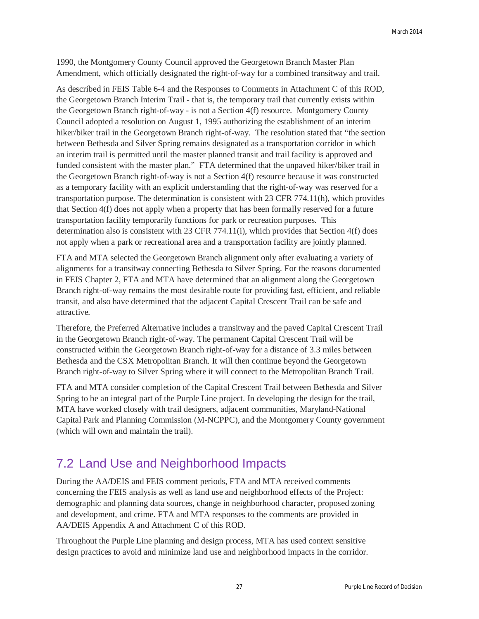1990, the Montgomery County Council approved the Georgetown Branch Master Plan Amendment, which officially designated the right-of-way for a combined transitway and trail.

As described in FEIS Table 6-4 and the Responses to Comments in Attachment C of this ROD, the Georgetown Branch Interim Trail - that is, the temporary trail that currently exists within the Georgetown Branch right-of-way - is not a Section 4(f) resource. Montgomery County Council adopted a resolution on August 1, 1995 authorizing the establishment of an interim hiker/biker trail in the Georgetown Branch right-of-way. The resolution stated that "the section between Bethesda and Silver Spring remains designated as a transportation corridor in which an interim trail is permitted until the master planned transit and trail facility is approved and funded consistent with the master plan." FTA determined that the unpaved hiker/biker trail in the Georgetown Branch right-of-way is not a Section 4(f) resource because it was constructed as a temporary facility with an explicit understanding that the right-of-way was reserved for a transportation purpose. The determination is consistent with 23 CFR 774.11(h), which provides that Section 4(f) does not apply when a property that has been formally reserved for a future transportation facility temporarily functions for park or recreation purposes. This determination also is consistent with 23 CFR 774.11(i), which provides that Section 4(f) does not apply when a park or recreational area and a transportation facility are jointly planned.

FTA and MTA selected the Georgetown Branch alignment only after evaluating a variety of alignments for a transitway connecting Bethesda to Silver Spring. For the reasons documented in FEIS Chapter 2, FTA and MTA have determined that an alignment along the Georgetown Branch right-of-way remains the most desirable route for providing fast, efficient, and reliable transit, and also have determined that the adjacent Capital Crescent Trail can be safe and attractive.

Therefore, the Preferred Alternative includes a transitway and the paved Capital Crescent Trail in the Georgetown Branch right-of-way. The permanent Capital Crescent Trail will be constructed within the Georgetown Branch right-of-way for a distance of 3.3 miles between Bethesda and the CSX Metropolitan Branch. It will then continue beyond the Georgetown Branch right-of-way to Silver Spring where it will connect to the Metropolitan Branch Trail.

FTA and MTA consider completion of the Capital Crescent Trail between Bethesda and Silver Spring to be an integral part of the Purple Line project. In developing the design for the trail, MTA have worked closely with trail designers, adjacent communities, Maryland-National Capital Park and Planning Commission (M-NCPPC), and the Montgomery County government (which will own and maintain the trail).

# 7.2 Land Use and Neighborhood Impacts

During the AA/DEIS and FEIS comment periods, FTA and MTA received comments concerning the FEIS analysis as well as land use and neighborhood effects of the Project: demographic and planning data sources, change in neighborhood character, proposed zoning and development, and crime. FTA and MTA responses to the comments are provided in AA/DEIS Appendix A and Attachment C of this ROD.

Throughout the Purple Line planning and design process, MTA has used context sensitive design practices to avoid and minimize land use and neighborhood impacts in the corridor.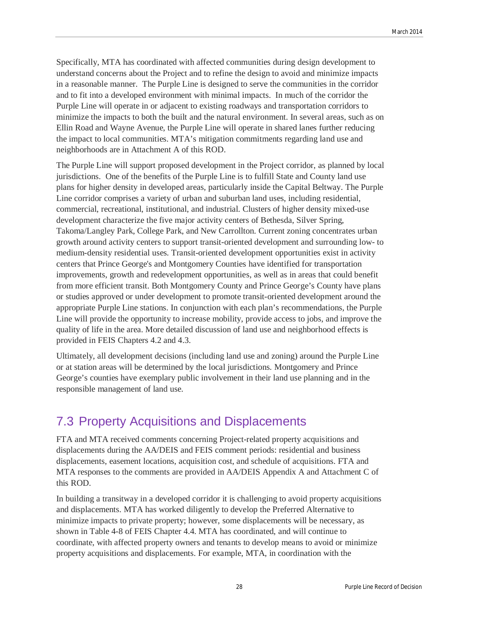Specifically, MTA has coordinated with affected communities during design development to understand concerns about the Project and to refine the design to avoid and minimize impacts in a reasonable manner. The Purple Line is designed to serve the communities in the corridor and to fit into a developed environment with minimal impacts. In much of the corridor the Purple Line will operate in or adjacent to existing roadways and transportation corridors to minimize the impacts to both the built and the natural environment. In several areas, such as on Ellin Road and Wayne Avenue, the Purple Line will operate in shared lanes further reducing the impact to local communities. MTA's mitigation commitments regarding land use and neighborhoods are in Attachment A of this ROD.

The Purple Line will support proposed development in the Project corridor, as planned by local jurisdictions. One of the benefits of the Purple Line is to fulfill State and County land use plans for higher density in developed areas, particularly inside the Capital Beltway. The Purple Line corridor comprises a variety of urban and suburban land uses, including residential, commercial, recreational, institutional, and industrial. Clusters of higher density mixed-use development characterize the five major activity centers of Bethesda, Silver Spring, Takoma/Langley Park, College Park, and New Carrollton. Current zoning concentrates urban growth around activity centers to support transit-oriented development and surrounding low- to medium-density residential uses. Transit-oriented development opportunities exist in activity centers that Prince George's and Montgomery Counties have identified for transportation improvements, growth and redevelopment opportunities, as well as in areas that could benefit from more efficient transit. Both Montgomery County and Prince George's County have plans or studies approved or under development to promote transit-oriented development around the appropriate Purple Line stations. In conjunction with each plan's recommendations, the Purple Line will provide the opportunity to increase mobility, provide access to jobs, and improve the quality of life in the area. More detailed discussion of land use and neighborhood effects is provided in FEIS Chapters 4.2 and 4.3.

Ultimately, all development decisions (including land use and zoning) around the Purple Line or at station areas will be determined by the local jurisdictions. Montgomery and Prince George's counties have exemplary public involvement in their land use planning and in the responsible management of land use.

# 7.3 Property Acquisitions and Displacements

FTA and MTA received comments concerning Project-related property acquisitions and displacements during the AA/DEIS and FEIS comment periods: residential and business displacements, easement locations, acquisition cost, and schedule of acquisitions. FTA and MTA responses to the comments are provided in AA/DEIS Appendix A and Attachment C of this ROD.

In building a transitway in a developed corridor it is challenging to avoid property acquisitions and displacements. MTA has worked diligently to develop the Preferred Alternative to minimize impacts to private property; however, some displacements will be necessary, as shown in Table 4-8 of FEIS Chapter 4.4. MTA has coordinated, and will continue to coordinate, with affected property owners and tenants to develop means to avoid or minimize property acquisitions and displacements. For example, MTA, in coordination with the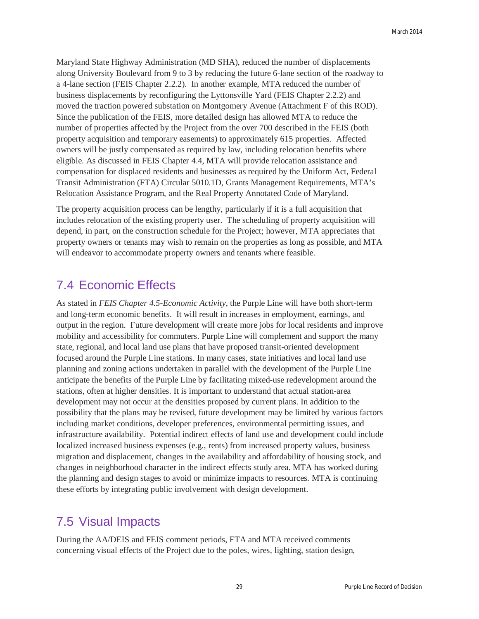Maryland State Highway Administration (MD SHA), reduced the number of displacements along University Boulevard from 9 to 3 by reducing the future 6-lane section of the roadway to a 4-lane section (FEIS Chapter 2.2.2). In another example, MTA reduced the number of business displacements by reconfiguring the Lyttonsville Yard (FEIS Chapter 2.2.2) and moved the traction powered substation on Montgomery Avenue (Attachment F of this ROD). Since the publication of the FEIS, more detailed design has allowed MTA to reduce the number of properties affected by the Project from the over 700 described in the FEIS (both property acquisition and temporary easements) to approximately 615 properties. Affected owners will be justly compensated as required by law, including relocation benefits where eligible. As discussed in FEIS Chapter 4.4, MTA will provide relocation assistance and compensation for displaced residents and businesses as required by the Uniform Act, Federal Transit Administration (FTA) Circular 5010.1D, Grants Management Requirements, MTA's Relocation Assistance Program, and the Real Property Annotated Code of Maryland.

The property acquisition process can be lengthy, particularly if it is a full acquisition that includes relocation of the existing property user. The scheduling of property acquisition will depend, in part, on the construction schedule for the Project; however, MTA appreciates that property owners or tenants may wish to remain on the properties as long as possible, and MTA will endeavor to accommodate property owners and tenants where feasible.

## 7.4 Economic Effects

As stated in *FEIS Chapter 4.5-Economic Activity*, the Purple Line will have both short-term and long-term economic benefits. It will result in increases in employment, earnings, and output in the region. Future development will create more jobs for local residents and improve mobility and accessibility for commuters. Purple Line will complement and support the many state, regional, and local land use plans that have proposed transit-oriented development focused around the Purple Line stations. In many cases, state initiatives and local land use planning and zoning actions undertaken in parallel with the development of the Purple Line anticipate the benefits of the Purple Line by facilitating mixed-use redevelopment around the stations, often at higher densities. It is important to understand that actual station-area development may not occur at the densities proposed by current plans. In addition to the possibility that the plans may be revised, future development may be limited by various factors including market conditions, developer preferences, environmental permitting issues, and infrastructure availability. Potential indirect effects of land use and development could include localized increased business expenses (e.g., rents) from increased property values, business migration and displacement, changes in the availability and affordability of housing stock, and changes in neighborhood character in the indirect effects study area. MTA has worked during the planning and design stages to avoid or minimize impacts to resources. MTA is continuing these efforts by integrating public involvement with design development.

# 7.5 Visual Impacts

During the AA/DEIS and FEIS comment periods, FTA and MTA received comments concerning visual effects of the Project due to the poles, wires, lighting, station design,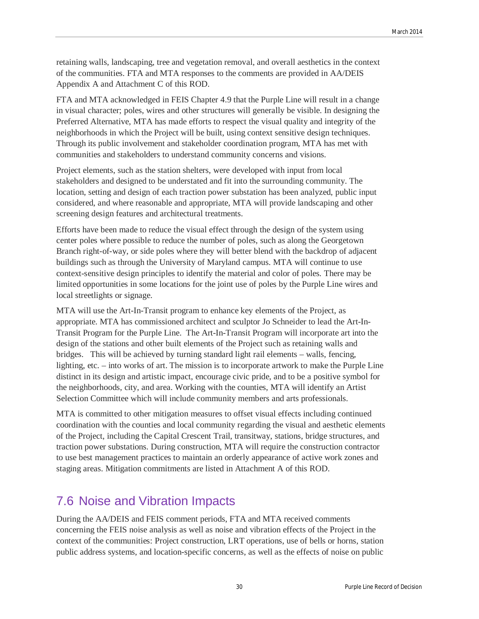retaining walls, landscaping, tree and vegetation removal, and overall aesthetics in the context of the communities. FTA and MTA responses to the comments are provided in AA/DEIS Appendix A and Attachment C of this ROD.

FTA and MTA acknowledged in FEIS Chapter 4.9 that the Purple Line will result in a change in visual character; poles, wires and other structures will generally be visible. In designing the Preferred Alternative, MTA has made efforts to respect the visual quality and integrity of the neighborhoods in which the Project will be built, using context sensitive design techniques. Through its public involvement and stakeholder coordination program, MTA has met with communities and stakeholders to understand community concerns and visions.

Project elements, such as the station shelters, were developed with input from local stakeholders and designed to be understated and fit into the surrounding community. The location, setting and design of each traction power substation has been analyzed, public input considered, and where reasonable and appropriate, MTA will provide landscaping and other screening design features and architectural treatments.

Efforts have been made to reduce the visual effect through the design of the system using center poles where possible to reduce the number of poles, such as along the Georgetown Branch right-of-way, or side poles where they will better blend with the backdrop of adjacent buildings such as through the University of Maryland campus. MTA will continue to use context-sensitive design principles to identify the material and color of poles. There may be limited opportunities in some locations for the joint use of poles by the Purple Line wires and local streetlights or signage.

MTA will use the Art-In-Transit program to enhance key elements of the Project, as appropriate. MTA has commissioned architect and sculptor Jo Schneider to lead the Art-In-Transit Program for the Purple Line. The Art-In-Transit Program will incorporate art into the design of the stations and other built elements of the Project such as retaining walls and bridges. This will be achieved by turning standard light rail elements – walls, fencing, lighting, etc. – into works of art. The mission is to incorporate artwork to make the Purple Line distinct in its design and artistic impact, encourage civic pride, and to be a positive symbol for the neighborhoods, city, and area. Working with the counties, MTA will identify an Artist Selection Committee which will include community members and arts professionals.

MTA is committed to other mitigation measures to offset visual effects including continued coordination with the counties and local community regarding the visual and aesthetic elements of the Project, including the Capital Crescent Trail, transitway, stations, bridge structures, and traction power substations. During construction, MTA will require the construction contractor to use best management practices to maintain an orderly appearance of active work zones and staging areas. Mitigation commitments are listed in Attachment A of this ROD.

# 7.6 Noise and Vibration Impacts

During the AA/DEIS and FEIS comment periods, FTA and MTA received comments concerning the FEIS noise analysis as well as noise and vibration effects of the Project in the context of the communities: Project construction, LRT operations, use of bells or horns, station public address systems, and location-specific concerns, as well as the effects of noise on public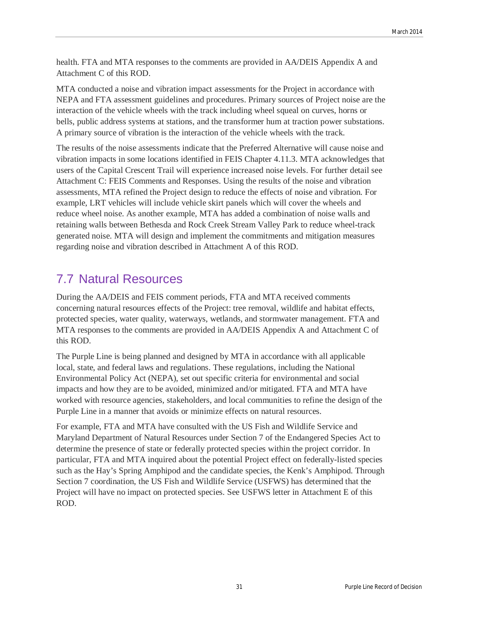health. FTA and MTA responses to the comments are provided in AA/DEIS Appendix A and Attachment C of this ROD.

MTA conducted a noise and vibration impact assessments for the Project in accordance with NEPA and FTA assessment guidelines and procedures. Primary sources of Project noise are the interaction of the vehicle wheels with the track including wheel squeal on curves, horns or bells, public address systems at stations, and the transformer hum at traction power substations. A primary source of vibration is the interaction of the vehicle wheels with the track.

The results of the noise assessments indicate that the Preferred Alternative will cause noise and vibration impacts in some locations identified in FEIS Chapter 4.11.3. MTA acknowledges that users of the Capital Crescent Trail will experience increased noise levels. For further detail see Attachment C: FEIS Comments and Responses. Using the results of the noise and vibration assessments, MTA refined the Project design to reduce the effects of noise and vibration. For example, LRT vehicles will include vehicle skirt panels which will cover the wheels and reduce wheel noise. As another example, MTA has added a combination of noise walls and retaining walls between Bethesda and Rock Creek Stream Valley Park to reduce wheel-track generated noise. MTA will design and implement the commitments and mitigation measures regarding noise and vibration described in Attachment A of this ROD.

# 7.7 Natural Resources

During the AA/DEIS and FEIS comment periods, FTA and MTA received comments concerning natural resources effects of the Project: tree removal, wildlife and habitat effects, protected species, water quality, waterways, wetlands, and stormwater management. FTA and MTA responses to the comments are provided in AA/DEIS Appendix A and Attachment C of this ROD.

The Purple Line is being planned and designed by MTA in accordance with all applicable local, state, and federal laws and regulations. These regulations, including the National Environmental Policy Act (NEPA), set out specific criteria for environmental and social impacts and how they are to be avoided, minimized and/or mitigated. FTA and MTA have worked with resource agencies, stakeholders, and local communities to refine the design of the Purple Line in a manner that avoids or minimize effects on natural resources.

For example, FTA and MTA have consulted with the US Fish and Wildlife Service and Maryland Department of Natural Resources under Section 7 of the Endangered Species Act to determine the presence of state or federally protected species within the project corridor. In particular, FTA and MTA inquired about the potential Project effect on federally-listed species such as the Hay's Spring Amphipod and the candidate species, the Kenk's Amphipod. Through Section 7 coordination, the US Fish and Wildlife Service (USFWS) has determined that the Project will have no impact on protected species. See USFWS letter in Attachment E of this ROD.